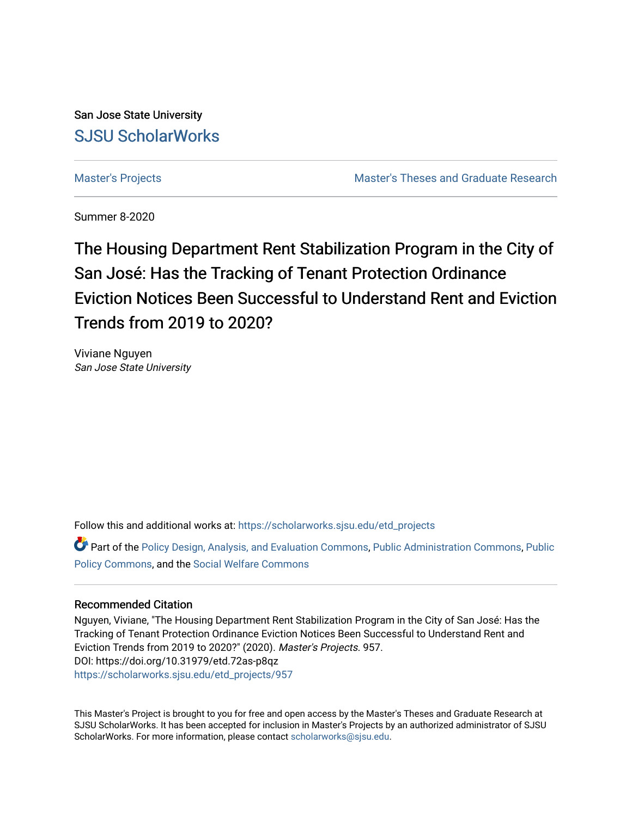San Jose State University [SJSU ScholarWorks](https://scholarworks.sjsu.edu/) 

[Master's Projects](https://scholarworks.sjsu.edu/etd_projects) [Master's Theses and Graduate Research](https://scholarworks.sjsu.edu/etd) 

Summer 8-2020

# The Housing Department Rent Stabilization Program in the City of San José: Has the Tracking of Tenant Protection Ordinance Eviction Notices Been Successful to Understand Rent and Eviction Trends from 2019 to 2020?

Viviane Nguyen San Jose State University

Follow this and additional works at: [https://scholarworks.sjsu.edu/etd\\_projects](https://scholarworks.sjsu.edu/etd_projects?utm_source=scholarworks.sjsu.edu%2Fetd_projects%2F957&utm_medium=PDF&utm_campaign=PDFCoverPages) 

**C** Part of the [Policy Design, Analysis, and Evaluation Commons](http://network.bepress.com/hgg/discipline/1032?utm_source=scholarworks.sjsu.edu%2Fetd_projects%2F957&utm_medium=PDF&utm_campaign=PDFCoverPages), [Public Administration Commons](http://network.bepress.com/hgg/discipline/398?utm_source=scholarworks.sjsu.edu%2Fetd_projects%2F957&utm_medium=PDF&utm_campaign=PDFCoverPages), [Public](http://network.bepress.com/hgg/discipline/400?utm_source=scholarworks.sjsu.edu%2Fetd_projects%2F957&utm_medium=PDF&utm_campaign=PDFCoverPages) [Policy Commons](http://network.bepress.com/hgg/discipline/400?utm_source=scholarworks.sjsu.edu%2Fetd_projects%2F957&utm_medium=PDF&utm_campaign=PDFCoverPages), and the [Social Welfare Commons](http://network.bepress.com/hgg/discipline/401?utm_source=scholarworks.sjsu.edu%2Fetd_projects%2F957&utm_medium=PDF&utm_campaign=PDFCoverPages) 

#### Recommended Citation

Nguyen, Viviane, "The Housing Department Rent Stabilization Program in the City of San José: Has the Tracking of Tenant Protection Ordinance Eviction Notices Been Successful to Understand Rent and Eviction Trends from 2019 to 2020?" (2020). Master's Projects. 957. DOI: https://doi.org/10.31979/etd.72as-p8qz [https://scholarworks.sjsu.edu/etd\\_projects/957](https://scholarworks.sjsu.edu/etd_projects/957?utm_source=scholarworks.sjsu.edu%2Fetd_projects%2F957&utm_medium=PDF&utm_campaign=PDFCoverPages) 

This Master's Project is brought to you for free and open access by the Master's Theses and Graduate Research at SJSU ScholarWorks. It has been accepted for inclusion in Master's Projects by an authorized administrator of SJSU ScholarWorks. For more information, please contact [scholarworks@sjsu.edu](mailto:scholarworks@sjsu.edu).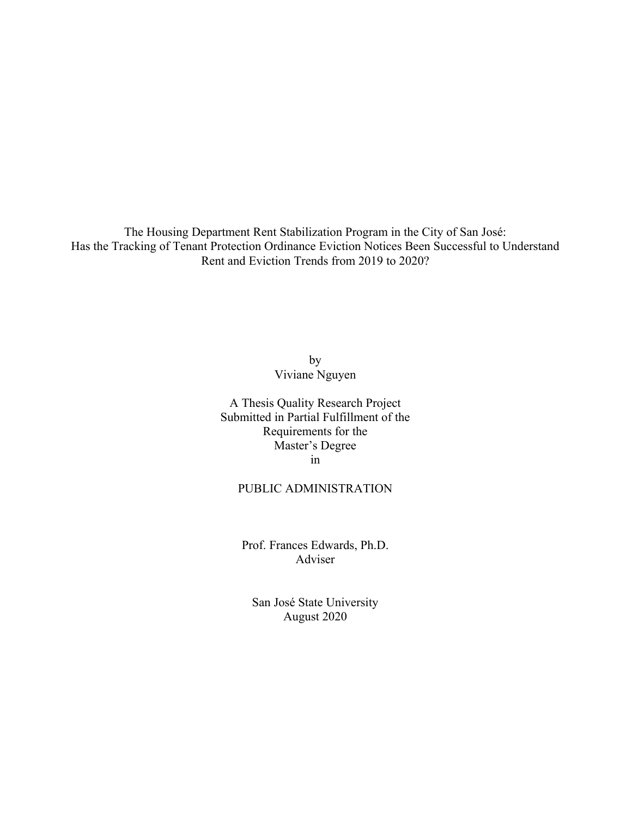The Housing Department Rent Stabilization Program in the City of San José: Has the Tracking of Tenant Protection Ordinance Eviction Notices Been Successful to Understand Rent and Eviction Trends from 2019 to 2020?

> by Viviane Nguyen

A Thesis Quality Research Project Submitted in Partial Fulfillment of the Requirements for the Master's Degree in

#### PUBLIC ADMINISTRATION

Prof. Frances Edwards, Ph.D. Adviser

San José State University August 2020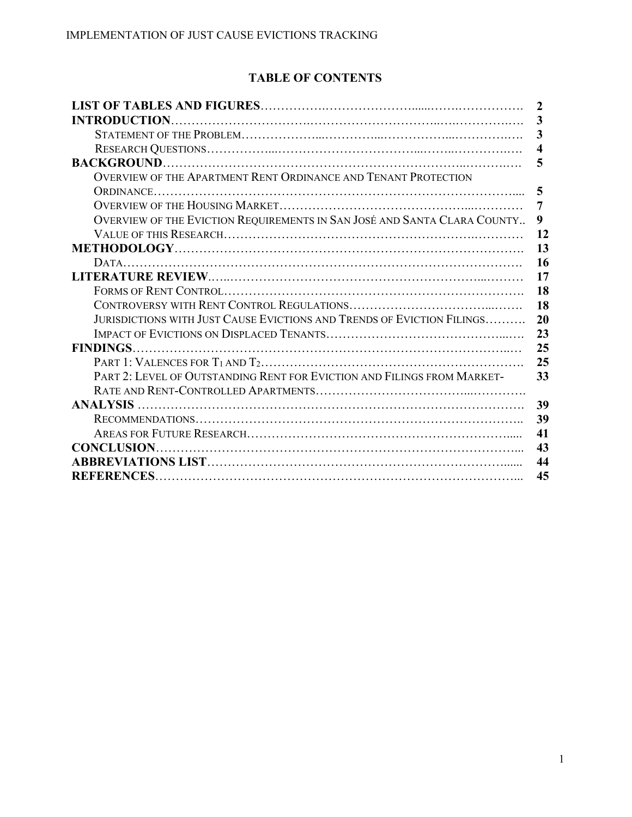# **TABLE OF CONTENTS**

|                                                                          | 2                       |
|--------------------------------------------------------------------------|-------------------------|
| <b>INTRODUCTION.</b>                                                     | 3                       |
|                                                                          | 3                       |
|                                                                          | $\overline{\mathbf{4}}$ |
|                                                                          | 5                       |
| OVERVIEW OF THE APARTMENT RENT ORDINANCE AND TENANT PROTECTION           |                         |
|                                                                          | 5                       |
|                                                                          | 7                       |
| OVERVIEW OF THE EVICTION REQUIREMENTS IN SAN JOSÉ AND SANTA CLARA COUNTY | 9                       |
|                                                                          | 12                      |
|                                                                          | 13                      |
|                                                                          | 16                      |
|                                                                          | 17                      |
|                                                                          | 18                      |
|                                                                          | 18                      |
| JURISDICTIONS WITH JUST CAUSE EVICTIONS AND TRENDS OF EVICTION FILINGS   | 20                      |
|                                                                          | 23                      |
|                                                                          | 25                      |
|                                                                          | 25                      |
| PART 2: LEVEL OF OUTSTANDING RENT FOR EVICTION AND FILINGS FROM MARKET-  | 33                      |
|                                                                          |                         |
|                                                                          | 39                      |
|                                                                          | 39                      |
|                                                                          | 41                      |
| <b>CONCLUSION</b>                                                        | 43                      |
|                                                                          | 44                      |
| <b>REFERENCES</b>                                                        | 45                      |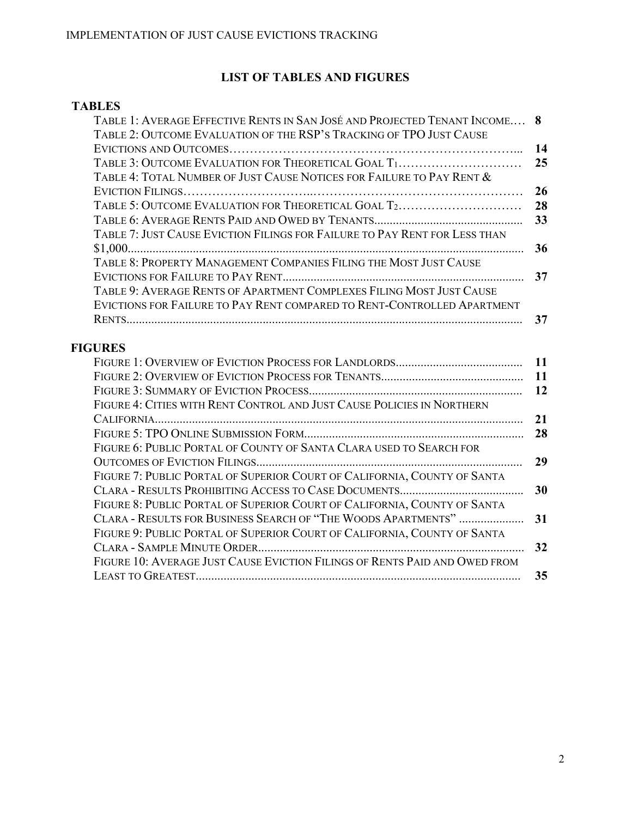# **LIST OF TABLES AND FIGURES**

### **TABLES**

| TABLE 1: AVERAGE EFFECTIVE RENTS IN SAN JOSÉ AND PROJECTED TENANT INCOME 8 |           |
|----------------------------------------------------------------------------|-----------|
| TABLE 2: OUTCOME EVALUATION OF THE RSP'S TRACKING OF TPO JUST CAUSE        |           |
|                                                                            | 14        |
| TABLE 3: OUTCOME EVALUATION FOR THEORETICAL GOAL T1                        | 25        |
| Table 4: Total Number of Just Cause Notices for Failure to Pay Rent $\&$   |           |
|                                                                            | 26        |
| TABLE 5: OUTCOME EVALUATION FOR THEORETICAL GOAL T2                        | 28        |
|                                                                            | 33        |
| TABLE 7: JUST CAUSE EVICTION FILINGS FOR FAILURE TO PAY RENT FOR LESS THAN |           |
|                                                                            | 36        |
| TABLE 8: PROPERTY MANAGEMENT COMPANIES FILING THE MOST JUST CAUSE          |           |
|                                                                            | 37        |
| TABLE 9: AVERAGE RENTS OF APARTMENT COMPLEXES FILING MOST JUST CAUSE       |           |
| EVICTIONS FOR FAILURE TO PAY RENT COMPARED TO RENT-CONTROLLED APARTMENT    |           |
|                                                                            | 37        |
|                                                                            |           |
| <b>FIGURES</b>                                                             |           |
|                                                                            | <b>11</b> |
|                                                                            | <b>11</b> |
|                                                                            | 12        |
| FIGURE 4: CITIES WITH RENT CONTROL AND JUST CAUSE POLICIES IN NORTHERN     |           |
|                                                                            | 21        |
|                                                                            | 28        |
| FIGURE 6: PUBLIC PORTAL OF COUNTY OF SANTA CLARA USED TO SEARCH FOR        |           |
|                                                                            | 29        |
| FIGURE 7: PUBLIC PORTAL OF SUPERIOR COURT OF CALIFORNIA, COUNTY OF SANTA   |           |
|                                                                            | 30        |

FIGURE 8: PUBLIC PORTAL OF SUPERIOR COURT OF CALIFORNIA, COUNTY OF SANTA

FIGURE 9: PUBLIC PORTAL OF SUPERIOR COURT OF CALIFORNIA, COUNTY OF SANTA

CLARA - RESULTS FOR BUSINESS SEARCH OF "THE WOODS APARTMENTS" ..................... **31** 

CLARA - SAMPLE MINUTE ORDER...................................................................................... **32**  FIGURE 10: AVERAGE JUST CAUSE EVICTION FILINGS OF RENTS PAID AND OWED FROM LEAST TO GREATEST......................................................................................................... **35**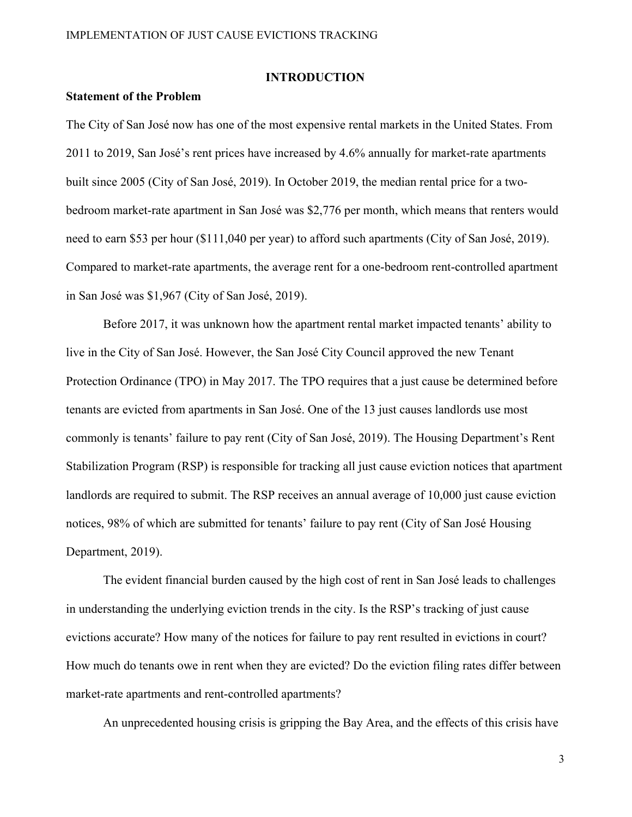#### **INTRODUCTION**

#### **Statement of the Problem**

The City of San José now has one of the most expensive rental markets in the United States. From 2011 to 2019, San José's rent prices have increased by 4.6% annually for market-rate apartments built since 2005 (City of San José, 2019). In October 2019, the median rental price for a twobedroom market-rate apartment in San José was \$2,776 per month, which means that renters would need to earn \$53 per hour (\$111,040 per year) to afford such apartments (City of San José, 2019). Compared to market-rate apartments, the average rent for a one-bedroom rent-controlled apartment in San José was \$1,967 (City of San José, 2019).

Before 2017, it was unknown how the apartment rental market impacted tenants' ability to live in the City of San José. However, the San José City Council approved the new Tenant Protection Ordinance (TPO) in May 2017. The TPO requires that a just cause be determined before tenants are evicted from apartments in San José. One of the 13 just causes landlords use most commonly is tenants' failure to pay rent (City of San José, 2019). The Housing Department's Rent Stabilization Program (RSP) is responsible for tracking all just cause eviction notices that apartment landlords are required to submit. The RSP receives an annual average of 10,000 just cause eviction notices, 98% of which are submitted for tenants' failure to pay rent (City of San José Housing Department, 2019).

The evident financial burden caused by the high cost of rent in San José leads to challenges in understanding the underlying eviction trends in the city. Is the RSP's tracking of just cause evictions accurate? How many of the notices for failure to pay rent resulted in evictions in court? How much do tenants owe in rent when they are evicted? Do the eviction filing rates differ between market-rate apartments and rent-controlled apartments?

An unprecedented housing crisis is gripping the Bay Area, and the effects of this crisis have

3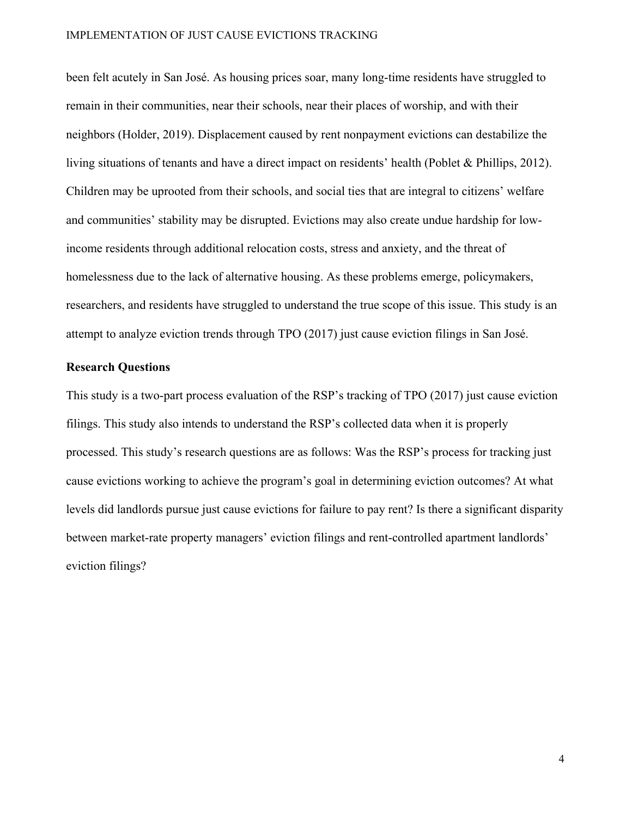#### IMPLEMENTATION OF JUST CAUSE EVICTIONS TRACKING

been felt acutely in San José. As housing prices soar, many long-time residents have struggled to remain in their communities, near their schools, near their places of worship, and with their neighbors (Holder, 2019). Displacement caused by rent nonpayment evictions can destabilize the living situations of tenants and have a direct impact on residents' health (Poblet & Phillips, 2012). Children may be uprooted from their schools, and social ties that are integral to citizens' welfare and communities' stability may be disrupted. Evictions may also create undue hardship for lowincome residents through additional relocation costs, stress and anxiety, and the threat of homelessness due to the lack of alternative housing. As these problems emerge, policymakers, researchers, and residents have struggled to understand the true scope of this issue. This study is an attempt to analyze eviction trends through TPO (2017) just cause eviction filings in San José.

#### **Research Questions**

This study is a two-part process evaluation of the RSP's tracking of TPO (2017) just cause eviction filings. This study also intends to understand the RSP's collected data when it is properly processed. This study's research questions are as follows: Was the RSP's process for tracking just cause evictions working to achieve the program's goal in determining eviction outcomes? At what levels did landlords pursue just cause evictions for failure to pay rent? Is there a significant disparity between market-rate property managers' eviction filings and rent-controlled apartment landlords' eviction filings?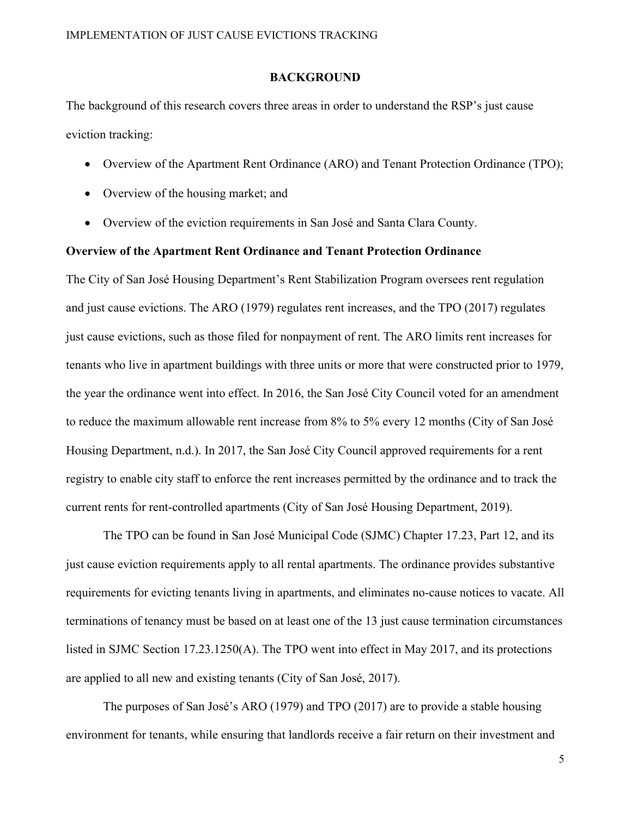#### **BACKGROUND**

The background of this research covers three areas in order to understand the RSP's just cause eviction tracking:

- Overview of the Apartment Rent Ordinance (ARO) and Tenant Protection Ordinance (TPO);
- Overview of the housing market; and
- Overview of the eviction requirements in San José and Santa Clara County.

#### **Overview of the Apartment Rent Ordinance and Tenant Protection Ordinance**

The City of San José Housing Department's Rent Stabilization Program oversees rent regulation and just cause evictions. The ARO (1979) regulates rent increases, and the TPO (2017) regulates just cause evictions, such as those filed for nonpayment of rent. The ARO limits rent increases for tenants who live in apartment buildings with three units or more that were constructed prior to 1979, the year the ordinance went into effect. In 2016, the San José City Council voted for an amendment to reduce the maximum allowable rent increase from 8% to 5% every 12 months (City of San José Housing Department, n.d.). In 2017, the San José City Council approved requirements for a rent registry to enable city staff to enforce the rent increases permitted by the ordinance and to track the current rents for rent-controlled apartments (City of San José Housing Department, 2019).

The TPO can be found in San José Municipal Code (SJMC) Chapter 17.23, Part 12, and its just cause eviction requirements apply to all rental apartments. The ordinance provides substantive requirements for evicting tenants living in apartments, and eliminates no-cause notices to vacate. All terminations of tenancy must be based on at least one of the 13 just cause termination circumstances listed in SJMC Section 17.23.1250(A). The TPO went into effect in May 2017, and its protections are applied to all new and existing tenants (City of San José, 2017).

The purposes of San José's ARO (1979) and TPO (2017) are to provide a stable housing environment for tenants, while ensuring that landlords receive a fair return on their investment and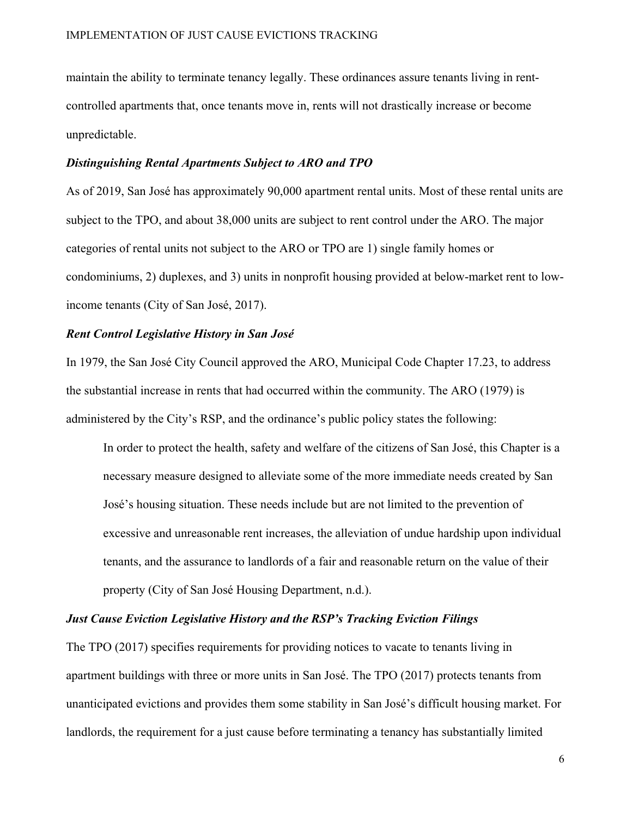maintain the ability to terminate tenancy legally. These ordinances assure tenants living in rentcontrolled apartments that, once tenants move in, rents will not drastically increase or become unpredictable.

#### *Distinguishing Rental Apartments Subject to ARO and TPO*

As of 2019, San José has approximately 90,000 apartment rental units. Most of these rental units are subject to the TPO, and about 38,000 units are subject to rent control under the ARO. The major categories of rental units not subject to the ARO or TPO are 1) single family homes or condominiums, 2) duplexes, and 3) units in nonprofit housing provided at below-market rent to lowincome tenants (City of San José, 2017).

#### *Rent Control Legislative History in San José*

In 1979, the San José City Council approved the ARO, Municipal Code Chapter 17.23, to address the substantial increase in rents that had occurred within the community. The ARO (1979) is administered by the City's RSP, and the ordinance's public policy states the following:

In order to protect the health, safety and welfare of the citizens of San José, this Chapter is a necessary measure designed to alleviate some of the more immediate needs created by San José's housing situation. These needs include but are not limited to the prevention of excessive and unreasonable rent increases, the alleviation of undue hardship upon individual tenants, and the assurance to landlords of a fair and reasonable return on the value of their property (City of San José Housing Department, n.d.).

### *Just Cause Eviction Legislative History and the RSP's Tracking Eviction Filings*

The TPO (2017) specifies requirements for providing notices to vacate to tenants living in apartment buildings with three or more units in San José. The TPO (2017) protects tenants from unanticipated evictions and provides them some stability in San José's difficult housing market. For landlords, the requirement for a just cause before terminating a tenancy has substantially limited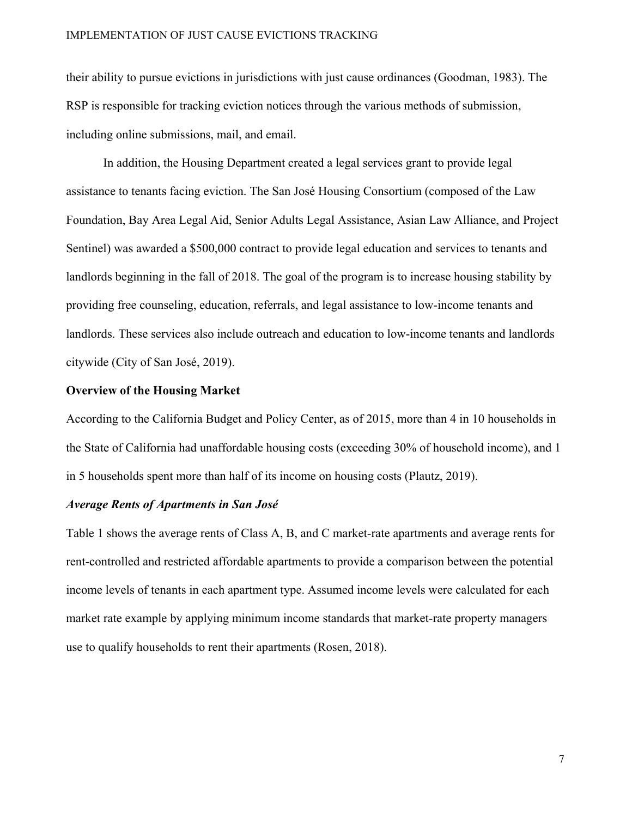their ability to pursue evictions in jurisdictions with just cause ordinances (Goodman, 1983). The RSP is responsible for tracking eviction notices through the various methods of submission, including online submissions, mail, and email.

In addition, the Housing Department created a legal services grant to provide legal assistance to tenants facing eviction. The San José Housing Consortium (composed of the Law Foundation, Bay Area Legal Aid, Senior Adults Legal Assistance, Asian Law Alliance, and Project Sentinel) was awarded a \$500,000 contract to provide legal education and services to tenants and landlords beginning in the fall of 2018. The goal of the program is to increase housing stability by providing free counseling, education, referrals, and legal assistance to low-income tenants and landlords. These services also include outreach and education to low-income tenants and landlords citywide (City of San José, 2019).

#### **Overview of the Housing Market**

According to the California Budget and Policy Center, as of 2015, more than 4 in 10 households in the State of California had unaffordable housing costs (exceeding 30% of household income), and 1 in 5 households spent more than half of its income on housing costs (Plautz, 2019).

#### *Average Rents of Apartments in San José*

Table 1 shows the average rents of Class A, B, and C market-rate apartments and average rents for rent-controlled and restricted affordable apartments to provide a comparison between the potential income levels of tenants in each apartment type. Assumed income levels were calculated for each market rate example by applying minimum income standards that market-rate property managers use to qualify households to rent their apartments (Rosen, 2018).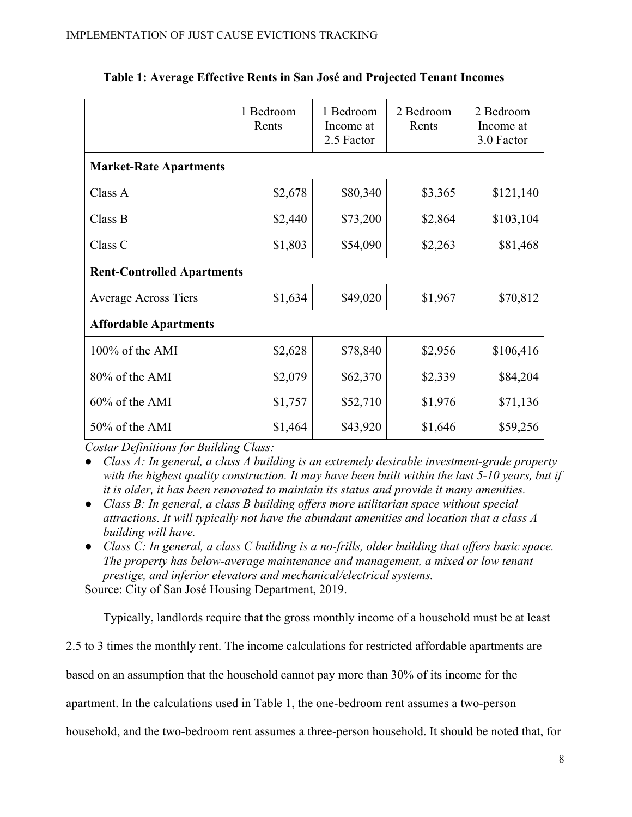|                                   | 1 Bedroom<br>Rents | 1 Bedroom<br>Income at<br>2.5 Factor | 2 Bedroom<br>Rents | 2 Bedroom<br>Income at<br>3.0 Factor |  |  |  |  |
|-----------------------------------|--------------------|--------------------------------------|--------------------|--------------------------------------|--|--|--|--|
| <b>Market-Rate Apartments</b>     |                    |                                      |                    |                                      |  |  |  |  |
| Class A                           | \$2,678            | \$80,340                             | \$3,365            | \$121,140                            |  |  |  |  |
| Class B                           | \$2,440            | \$73,200                             | \$2,864            | \$103,104                            |  |  |  |  |
| Class C                           | \$1,803            | \$54,090                             | \$2,263            | \$81,468                             |  |  |  |  |
| <b>Rent-Controlled Apartments</b> |                    |                                      |                    |                                      |  |  |  |  |
| <b>Average Across Tiers</b>       | \$1,634            | \$49,020                             | \$1,967            | \$70,812                             |  |  |  |  |
| <b>Affordable Apartments</b>      |                    |                                      |                    |                                      |  |  |  |  |
| 100% of the AMI                   | \$2,628            | \$78,840                             | \$2,956            | \$106,416                            |  |  |  |  |
| 80% of the AMI                    | \$2,079            | \$62,370                             | \$2,339            | \$84,204                             |  |  |  |  |
| $60\%$ of the AMI                 | \$1,757            | \$52,710                             | \$1,976            | \$71,136                             |  |  |  |  |
| 50% of the AMI                    | \$1,464            | \$43,920                             | \$1,646            | \$59,256                             |  |  |  |  |

### **Table 1: Average Effective Rents in San José and Projected Tenant Incomes**

*Costar Definitions for Building Class:* 

● *Class A: In general, a class A building is an extremely desirable investment-grade property with the highest quality construction. It may have been built within the last 5-10 years, but if it is older, it has been renovated to maintain its status and provide it many amenities.* 

- *Class B: In general, a class B building offers more utilitarian space without special attractions. It will typically not have the abundant amenities and location that a class A building will have.*
- *Class C: In general, a class C building is a no-frills, older building that offers basic space. The property has below-average maintenance and management, a mixed or low tenant prestige, and inferior elevators and mechanical/electrical systems.*

Source: City of San José Housing Department, 2019.

Typically, landlords require that the gross monthly income of a household must be at least

2.5 to 3 times the monthly rent. The income calculations for restricted affordable apartments are

based on an assumption that the household cannot pay more than 30% of its income for the

apartment. In the calculations used in Table 1, the one-bedroom rent assumes a two-person

household, and the two-bedroom rent assumes a three-person household. It should be noted that, for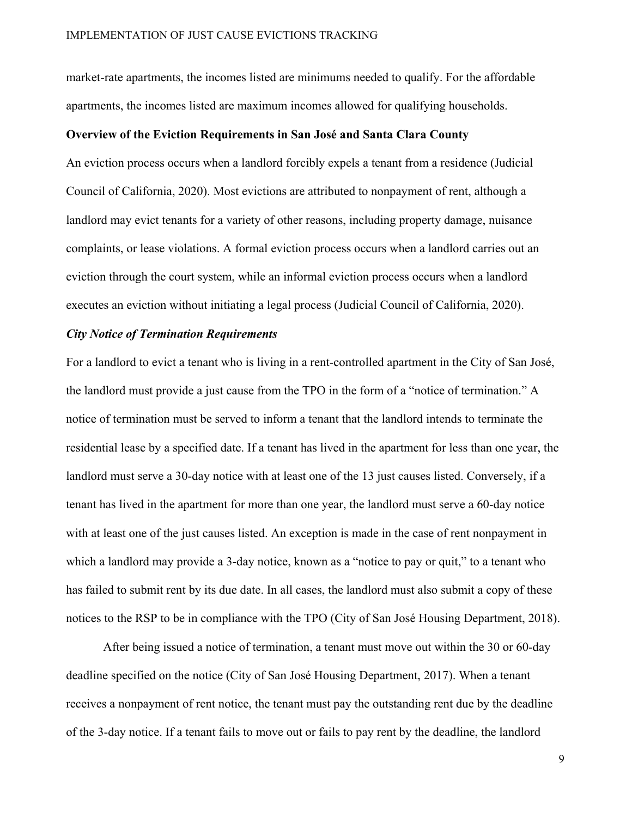market-rate apartments, the incomes listed are minimums needed to qualify. For the affordable apartments, the incomes listed are maximum incomes allowed for qualifying households.

#### **Overview of the Eviction Requirements in San José and Santa Clara County**

An eviction process occurs when a landlord forcibly expels a tenant from a residence (Judicial Council of California, 2020). Most evictions are attributed to nonpayment of rent, although a landlord may evict tenants for a variety of other reasons, including property damage, nuisance complaints, or lease violations. A formal eviction process occurs when a landlord carries out an eviction through the court system, while an informal eviction process occurs when a landlord executes an eviction without initiating a legal process (Judicial Council of California, 2020).

#### *City Notice of Termination Requirements*

For a landlord to evict a tenant who is living in a rent-controlled apartment in the City of San José, the landlord must provide a just cause from the TPO in the form of a "notice of termination." A notice of termination must be served to inform a tenant that the landlord intends to terminate the residential lease by a specified date. If a tenant has lived in the apartment for less than one year, the landlord must serve a 30-day notice with at least one of the 13 just causes listed. Conversely, if a tenant has lived in the apartment for more than one year, the landlord must serve a 60-day notice with at least one of the just causes listed. An exception is made in the case of rent nonpayment in which a landlord may provide a 3-day notice, known as a "notice to pay or quit," to a tenant who has failed to submit rent by its due date. In all cases, the landlord must also submit a copy of these notices to the RSP to be in compliance with the TPO (City of San José Housing Department, 2018).

After being issued a notice of termination, a tenant must move out within the 30 or 60-day deadline specified on the notice (City of San José Housing Department, 2017). When a tenant receives a nonpayment of rent notice, the tenant must pay the outstanding rent due by the deadline of the 3-day notice. If a tenant fails to move out or fails to pay rent by the deadline, the landlord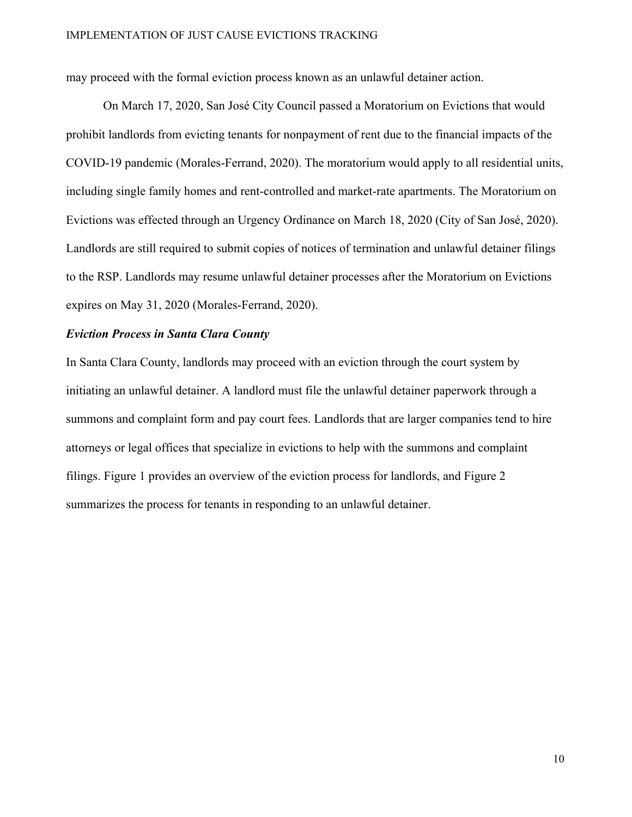may proceed with the formal eviction process known as an unlawful detainer action.

 On March 17, 2020, San José City Council passed a Moratorium on Evictions that would prohibit landlords from evicting tenants for nonpayment of rent due to the financial impacts of the COVID-19 pandemic (Morales-Ferrand, 2020). The moratorium would apply to all residential units, including single family homes and rent-controlled and market-rate apartments. The Moratorium on Evictions was effected through an Urgency Ordinance on March 18, 2020 (City of San José, 2020). Landlords are still required to submit copies of notices of termination and unlawful detainer filings to the RSP. Landlords may resume unlawful detainer processes after the Moratorium on Evictions expires on May 31, 2020 (Morales-Ferrand, 2020).

#### *Eviction Process in Santa Clara County*

In Santa Clara County, landlords may proceed with an eviction through the court system by initiating an unlawful detainer. A landlord must file the unlawful detainer paperwork through a summons and complaint form and pay court fees. Landlords that are larger companies tend to hire attorneys or legal offices that specialize in evictions to help with the summons and complaint filings. Figure 1 provides an overview of the eviction process for landlords, and Figure 2 summarizes the process for tenants in responding to an unlawful detainer.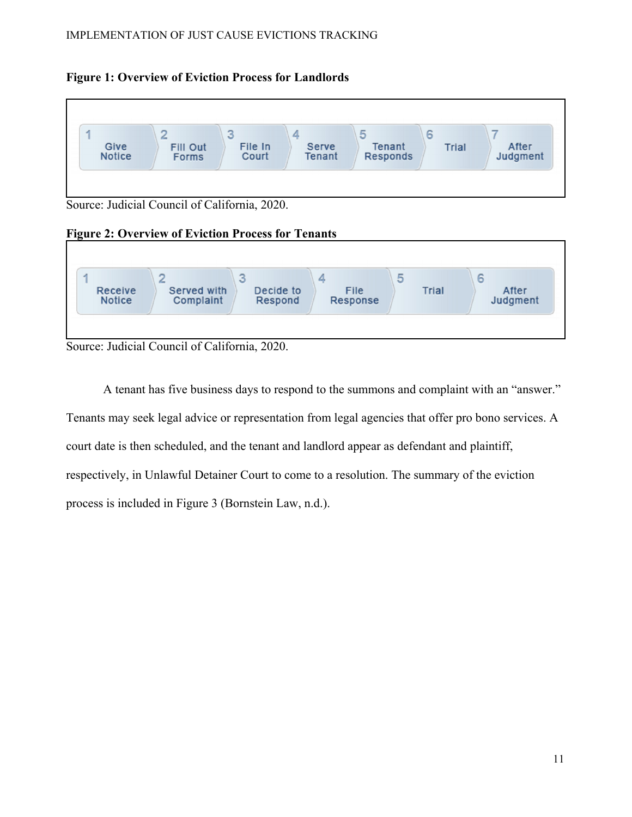



Source: Judicial Council of California, 2020.

# **Figure 2: Overview of Eviction Process for Tenants**



Source: Judicial Council of California, 2020.

A tenant has five business days to respond to the summons and complaint with an "answer." Tenants may seek legal advice or representation from legal agencies that offer pro bono services. A court date is then scheduled, and the tenant and landlord appear as defendant and plaintiff, respectively, in Unlawful Detainer Court to come to a resolution. The summary of the eviction process is included in Figure 3 (Bornstein Law, n.d.).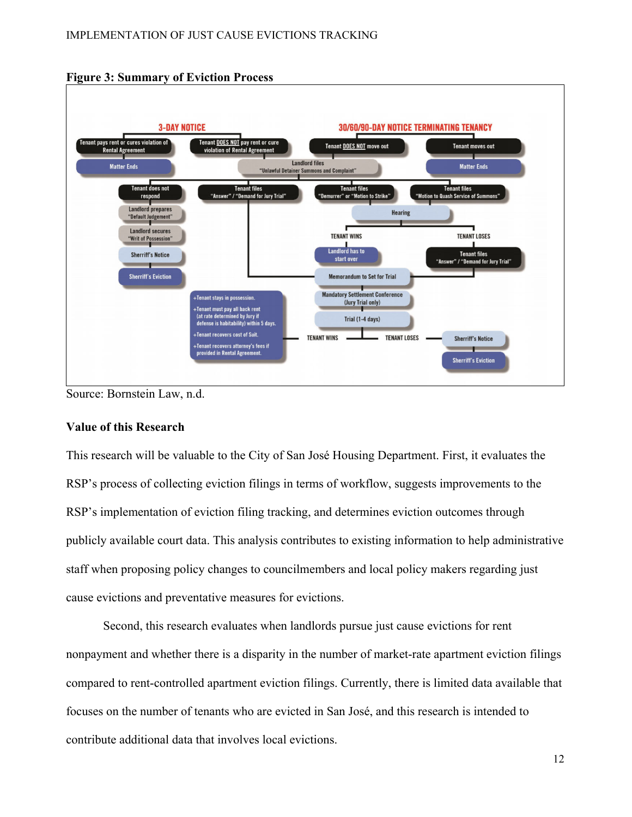

#### **Figure 3: Summary of Eviction Process**

#### **Value of this Research**

This research will be valuable to the City of San José Housing Department. First, it evaluates the RSP's process of collecting eviction filings in terms of workflow, suggests improvements to the RSP's implementation of eviction filing tracking, and determines eviction outcomes through publicly available court data. This analysis contributes to existing information to help administrative staff when proposing policy changes to councilmembers and local policy makers regarding just cause evictions and preventative measures for evictions.

Second, this research evaluates when landlords pursue just cause evictions for rent nonpayment and whether there is a disparity in the number of market-rate apartment eviction filings compared to rent-controlled apartment eviction filings. Currently, there is limited data available that focuses on the number of tenants who are evicted in San José, and this research is intended to contribute additional data that involves local evictions.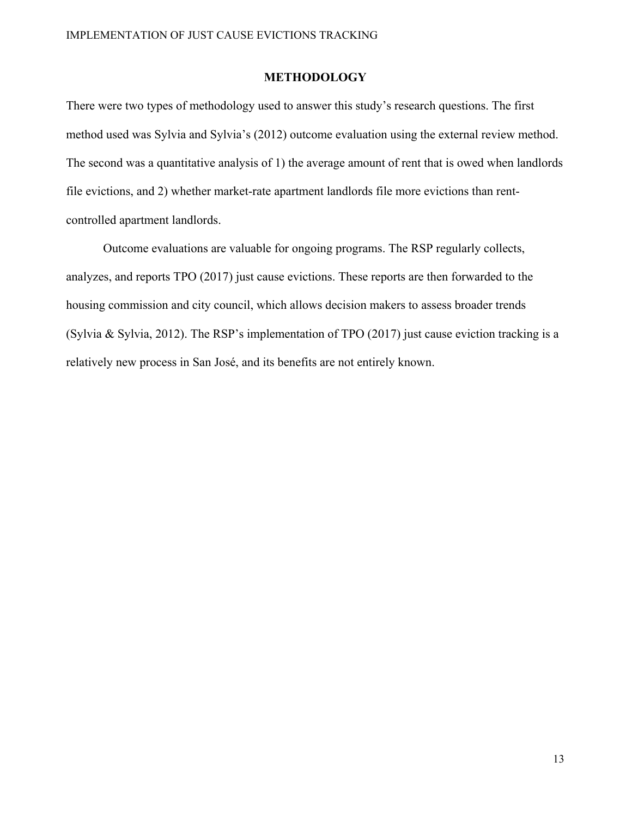#### **METHODOLOGY**

There were two types of methodology used to answer this study's research questions. The first method used was Sylvia and Sylvia's (2012) outcome evaluation using the external review method. The second was a quantitative analysis of 1) the average amount of rent that is owed when landlords file evictions, and 2) whether market-rate apartment landlords file more evictions than rentcontrolled apartment landlords.

Outcome evaluations are valuable for ongoing programs. The RSP regularly collects, analyzes, and reports TPO (2017) just cause evictions. These reports are then forwarded to the housing commission and city council, which allows decision makers to assess broader trends (Sylvia & Sylvia, 2012). The RSP's implementation of TPO (2017) just cause eviction tracking is a relatively new process in San José, and its benefits are not entirely known.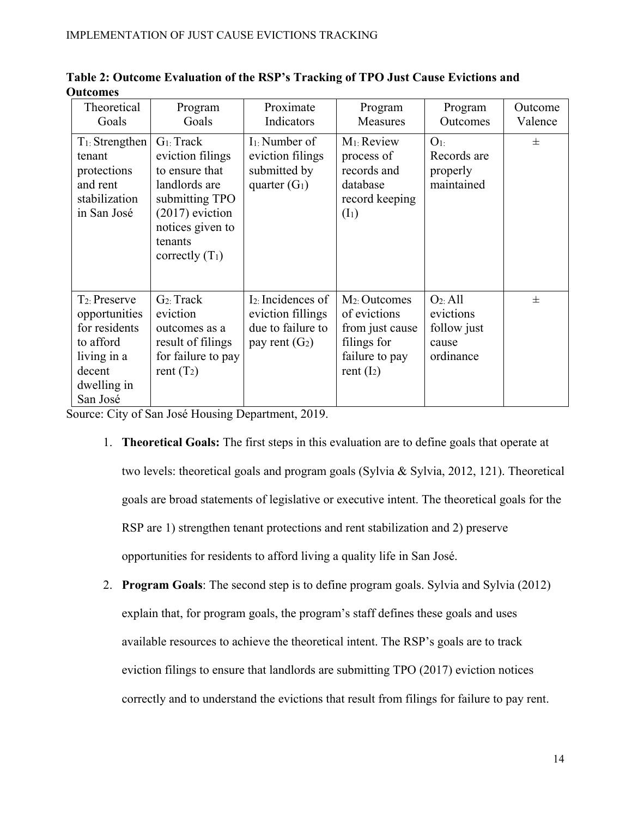| Theoretical<br>Goals                                                                                                | Program<br>Goals                                                                                                                                                | Proximate<br>Indicators                                                           | Program<br>Measures                                                                                  | Program<br>Outcomes                                                    | Outcome<br>Valence |
|---------------------------------------------------------------------------------------------------------------------|-----------------------------------------------------------------------------------------------------------------------------------------------------------------|-----------------------------------------------------------------------------------|------------------------------------------------------------------------------------------------------|------------------------------------------------------------------------|--------------------|
| $T_1$ : Strengthen<br>tenant<br>protections<br>and rent<br>stabilization<br>in San José                             | $G_1$ : Track<br>eviction filings<br>to ensure that<br>landlords are<br>submitting TPO<br>$(2017)$ eviction<br>notices given to<br>tenants<br>correctly $(T_1)$ | $I_1$ : Number of<br>eviction filings<br>submitted by<br>quarter $(G_1)$          | M <sub>1</sub> : Review<br>process of<br>records and<br>database<br>record keeping<br>$(I_1)$        | $O1$ :<br>Records are<br>properly<br>maintained                        | 士                  |
| $T_2$ : Preserve<br>opportunities<br>for residents<br>to afford<br>living in a<br>decent<br>dwelling in<br>San José | $G_2$ : Track<br>eviction<br>outcomes as a<br>result of filings<br>for failure to pay<br>rent $(T_2)$                                                           | $I2$ : Incidences of<br>eviction fillings<br>due to failure to<br>pay rent $(G2)$ | $M_2$ : Outcomes<br>of evictions<br>from just cause<br>filings for<br>failure to pay<br>rent $(I_2)$ | O <sub>2</sub> : All<br>evictions<br>follow just<br>cause<br>ordinance | $\pm$              |

|                 |  |  |  | Table 2: Outcome Evaluation of the RSP's Tracking of TPO Just Cause Evictions and |
|-----------------|--|--|--|-----------------------------------------------------------------------------------|
| <b>Outcomes</b> |  |  |  |                                                                                   |

Source: City of San José Housing Department, 2019.

- 1. **Theoretical Goals:** The first steps in this evaluation are to define goals that operate at two levels: theoretical goals and program goals (Sylvia & Sylvia, 2012, 121). Theoretical goals are broad statements of legislative or executive intent. The theoretical goals for the RSP are 1) strengthen tenant protections and rent stabilization and 2) preserve opportunities for residents to afford living a quality life in San José.
- 2. **Program Goals**: The second step is to define program goals. Sylvia and Sylvia (2012) explain that, for program goals, the program's staff defines these goals and uses available resources to achieve the theoretical intent. The RSP's goals are to track eviction filings to ensure that landlords are submitting TPO (2017) eviction notices correctly and to understand the evictions that result from filings for failure to pay rent.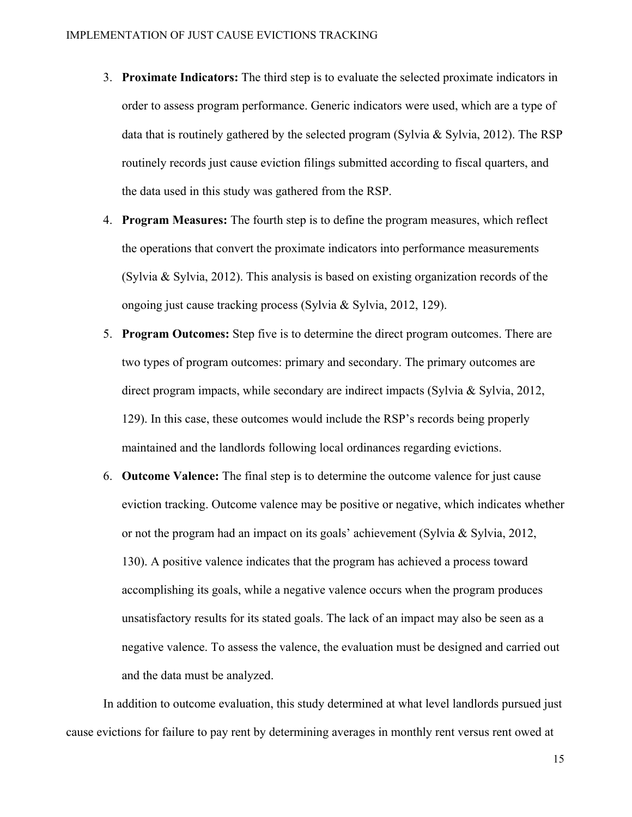- 3. **Proximate Indicators:** The third step is to evaluate the selected proximate indicators in order to assess program performance. Generic indicators were used, which are a type of data that is routinely gathered by the selected program (Sylvia  $\&$  Sylvia, 2012). The RSP routinely records just cause eviction filings submitted according to fiscal quarters, and the data used in this study was gathered from the RSP.
- 4. **Program Measures:** The fourth step is to define the program measures, which reflect the operations that convert the proximate indicators into performance measurements (Sylvia & Sylvia, 2012). This analysis is based on existing organization records of the ongoing just cause tracking process (Sylvia & Sylvia, 2012, 129).
- 5. **Program Outcomes:** Step five is to determine the direct program outcomes. There are two types of program outcomes: primary and secondary. The primary outcomes are direct program impacts, while secondary are indirect impacts (Sylvia & Sylvia, 2012, 129). In this case, these outcomes would include the RSP's records being properly maintained and the landlords following local ordinances regarding evictions.
- 6. **Outcome Valence:** The final step is to determine the outcome valence for just cause eviction tracking. Outcome valence may be positive or negative, which indicates whether or not the program had an impact on its goals' achievement (Sylvia & Sylvia, 2012, 130). A positive valence indicates that the program has achieved a process toward accomplishing its goals, while a negative valence occurs when the program produces unsatisfactory results for its stated goals. The lack of an impact may also be seen as a negative valence. To assess the valence, the evaluation must be designed and carried out and the data must be analyzed.

In addition to outcome evaluation, this study determined at what level landlords pursued just cause evictions for failure to pay rent by determining averages in monthly rent versus rent owed at

15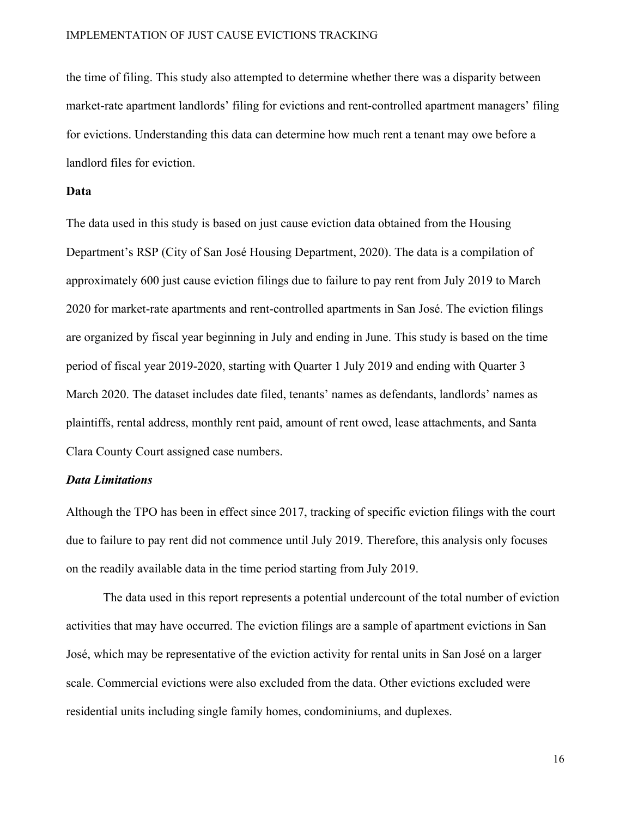#### IMPLEMENTATION OF JUST CAUSE EVICTIONS TRACKING

the time of filing. This study also attempted to determine whether there was a disparity between market-rate apartment landlords' filing for evictions and rent-controlled apartment managers' filing for evictions. Understanding this data can determine how much rent a tenant may owe before a landlord files for eviction.

#### **Data**

The data used in this study is based on just cause eviction data obtained from the Housing Department's RSP (City of San José Housing Department, 2020). The data is a compilation of approximately 600 just cause eviction filings due to failure to pay rent from July 2019 to March 2020 for market-rate apartments and rent-controlled apartments in San José. The eviction filings are organized by fiscal year beginning in July and ending in June. This study is based on the time period of fiscal year 2019-2020, starting with Quarter 1 July 2019 and ending with Quarter 3 March 2020. The dataset includes date filed, tenants' names as defendants, landlords' names as plaintiffs, rental address, monthly rent paid, amount of rent owed, lease attachments, and Santa Clara County Court assigned case numbers.

#### *Data Limitations*

Although the TPO has been in effect since 2017, tracking of specific eviction filings with the court due to failure to pay rent did not commence until July 2019. Therefore, this analysis only focuses on the readily available data in the time period starting from July 2019.

The data used in this report represents a potential undercount of the total number of eviction activities that may have occurred. The eviction filings are a sample of apartment evictions in San José, which may be representative of the eviction activity for rental units in San José on a larger scale. Commercial evictions were also excluded from the data. Other evictions excluded were residential units including single family homes, condominiums, and duplexes.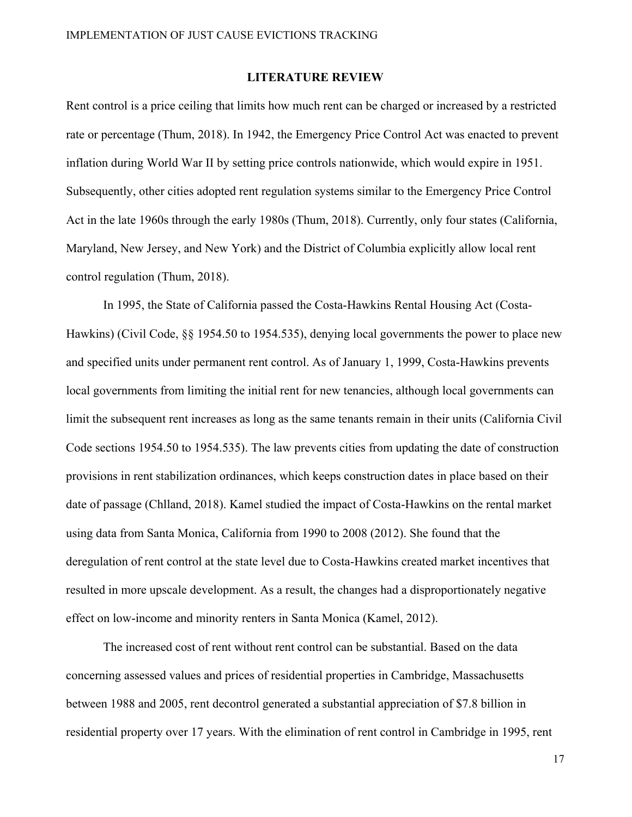#### **LITERATURE REVIEW**

Rent control is a price ceiling that limits how much rent can be charged or increased by a restricted rate or percentage (Thum, 2018). In 1942, the Emergency Price Control Act was enacted to prevent inflation during World War II by setting price controls nationwide, which would expire in 1951. Subsequently, other cities adopted rent regulation systems similar to the Emergency Price Control Act in the late 1960s through the early 1980s (Thum, 2018). Currently, only four states (California, Maryland, New Jersey, and New York) and the District of Columbia explicitly allow local rent control regulation (Thum, 2018).

 In 1995, the State of California passed the Costa-Hawkins Rental Housing Act (Costa-Hawkins) (Civil Code, §§ 1954.50 to 1954.535), denying local governments the power to place new and specified units under permanent rent control. As of January 1, 1999, Costa-Hawkins prevents local governments from limiting the initial rent for new tenancies, although local governments can limit the subsequent rent increases as long as the same tenants remain in their units (California Civil Code sections 1954.50 to 1954.535). The law prevents cities from updating the date of construction provisions in rent stabilization ordinances, which keeps construction dates in place based on their date of passage (Chlland, 2018). Kamel studied the impact of Costa-Hawkins on the rental market using data from Santa Monica, California from 1990 to 2008 (2012). She found that the deregulation of rent control at the state level due to Costa-Hawkins created market incentives that resulted in more upscale development. As a result, the changes had a disproportionately negative effect on low-income and minority renters in Santa Monica (Kamel, 2012).

The increased cost of rent without rent control can be substantial. Based on the data concerning assessed values and prices of residential properties in Cambridge, Massachusetts between 1988 and 2005, rent decontrol generated a substantial appreciation of \$7.8 billion in residential property over 17 years. With the elimination of rent control in Cambridge in 1995, rent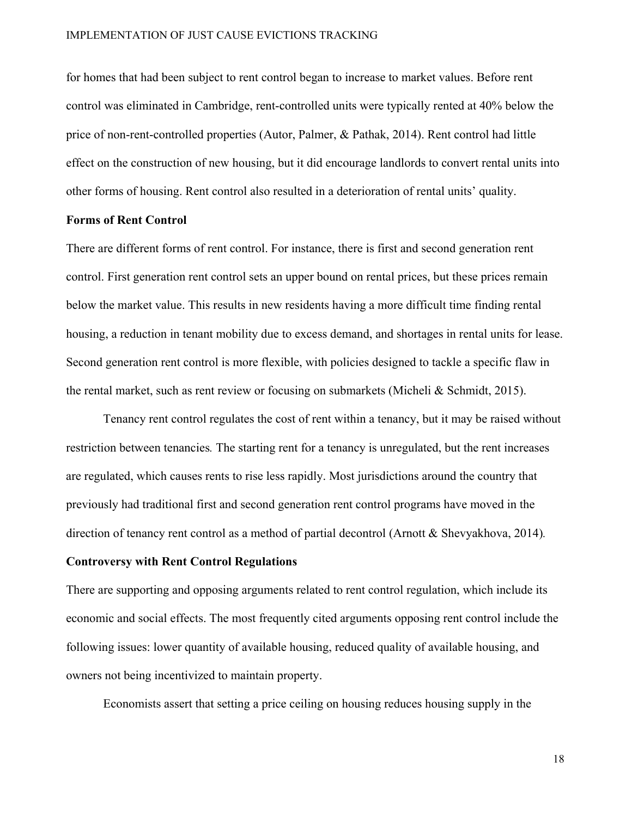#### IMPLEMENTATION OF JUST CAUSE EVICTIONS TRACKING

for homes that had been subject to rent control began to increase to market values. Before rent control was eliminated in Cambridge, rent-controlled units were typically rented at 40% below the price of non-rent-controlled properties (Autor, Palmer, & Pathak, 2014). Rent control had little effect on the construction of new housing, but it did encourage landlords to convert rental units into other forms of housing. Rent control also resulted in a deterioration of rental units' quality.

#### **Forms of Rent Control**

There are different forms of rent control. For instance, there is first and second generation rent control. First generation rent control sets an upper bound on rental prices, but these prices remain below the market value. This results in new residents having a more difficult time finding rental housing, a reduction in tenant mobility due to excess demand, and shortages in rental units for lease. Second generation rent control is more flexible, with policies designed to tackle a specific flaw in the rental market, such as rent review or focusing on submarkets (Micheli & Schmidt, 2015).

 Tenancy rent control regulates the cost of rent within a tenancy, but it may be raised without restriction between tenancies*.* The starting rent for a tenancy is unregulated, but the rent increases are regulated, which causes rents to rise less rapidly. Most jurisdictions around the country that previously had traditional first and second generation rent control programs have moved in the direction of tenancy rent control as a method of partial decontrol (Arnott & Shevyakhova, 2014)*.* 

#### **Controversy with Rent Control Regulations**

There are supporting and opposing arguments related to rent control regulation, which include its economic and social effects. The most frequently cited arguments opposing rent control include the following issues: lower quantity of available housing, reduced quality of available housing, and owners not being incentivized to maintain property.

Economists assert that setting a price ceiling on housing reduces housing supply in the

18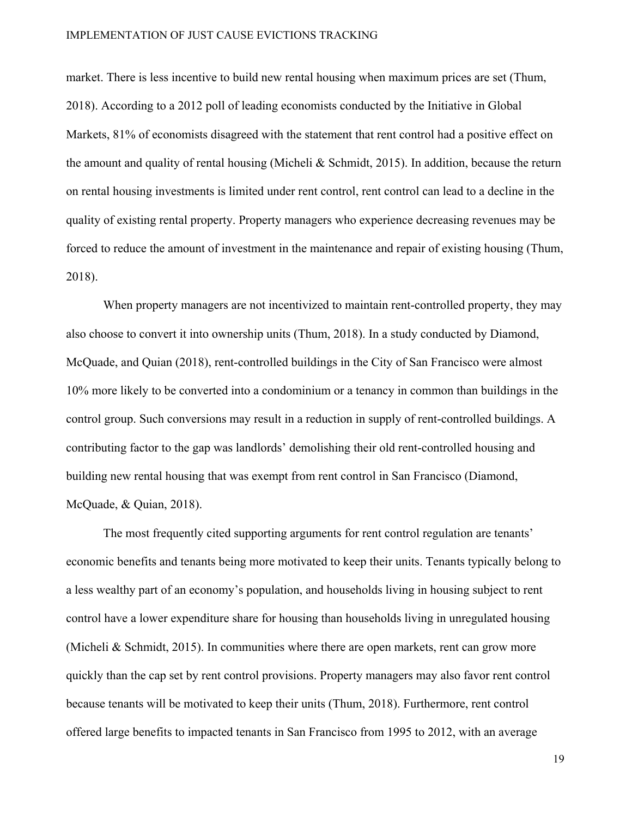market. There is less incentive to build new rental housing when maximum prices are set (Thum, 2018). According to a 2012 poll of leading economists conducted by the Initiative in Global Markets, 81% of economists disagreed with the statement that rent control had a positive effect on the amount and quality of rental housing (Micheli & Schmidt, 2015). In addition, because the return on rental housing investments is limited under rent control, rent control can lead to a decline in the quality of existing rental property. Property managers who experience decreasing revenues may be forced to reduce the amount of investment in the maintenance and repair of existing housing (Thum, 2018).

 When property managers are not incentivized to maintain rent-controlled property, they may also choose to convert it into ownership units (Thum, 2018). In a study conducted by Diamond, McQuade, and Quian (2018), rent-controlled buildings in the City of San Francisco were almost 10% more likely to be converted into a condominium or a tenancy in common than buildings in the control group. Such conversions may result in a reduction in supply of rent-controlled buildings. A contributing factor to the gap was landlords' demolishing their old rent-controlled housing and building new rental housing that was exempt from rent control in San Francisco (Diamond, McQuade, & Quian, 2018).

The most frequently cited supporting arguments for rent control regulation are tenants' economic benefits and tenants being more motivated to keep their units. Tenants typically belong to a less wealthy part of an economy's population, and households living in housing subject to rent control have a lower expenditure share for housing than households living in unregulated housing (Micheli & Schmidt, 2015). In communities where there are open markets, rent can grow more quickly than the cap set by rent control provisions. Property managers may also favor rent control because tenants will be motivated to keep their units (Thum, 2018). Furthermore, rent control offered large benefits to impacted tenants in San Francisco from 1995 to 2012, with an average

19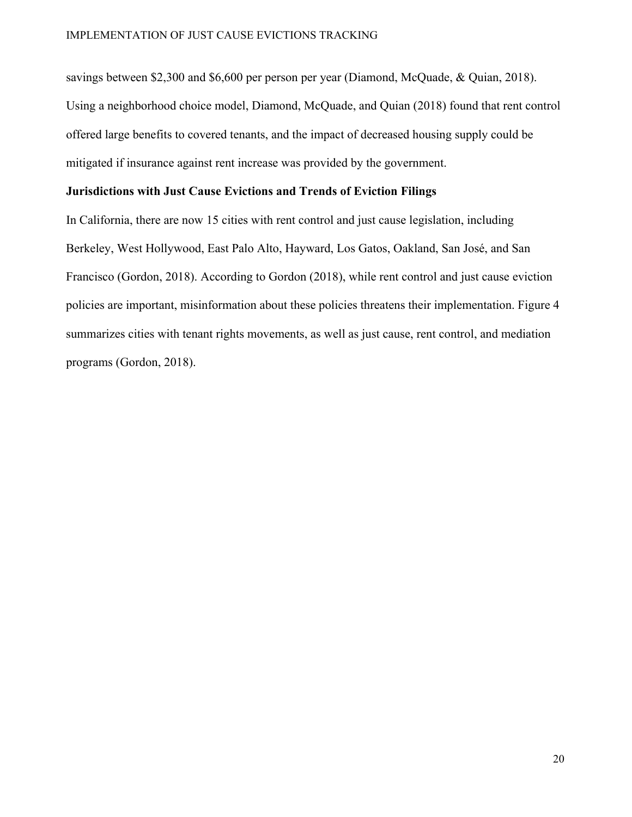savings between \$2,300 and \$6,600 per person per year (Diamond, McQuade, & Quian, 2018). Using a neighborhood choice model, Diamond, McQuade, and Quian (2018) found that rent control offered large benefits to covered tenants, and the impact of decreased housing supply could be mitigated if insurance against rent increase was provided by the government.

#### **Jurisdictions with Just Cause Evictions and Trends of Eviction Filings**

In California, there are now 15 cities with rent control and just cause legislation, including Berkeley, West Hollywood, East Palo Alto, Hayward, Los Gatos, Oakland, San José, and San Francisco (Gordon, 2018). According to Gordon (2018), while rent control and just cause eviction policies are important, misinformation about these policies threatens their implementation. Figure 4 summarizes cities with tenant rights movements, as well as just cause, rent control, and mediation programs (Gordon, 2018).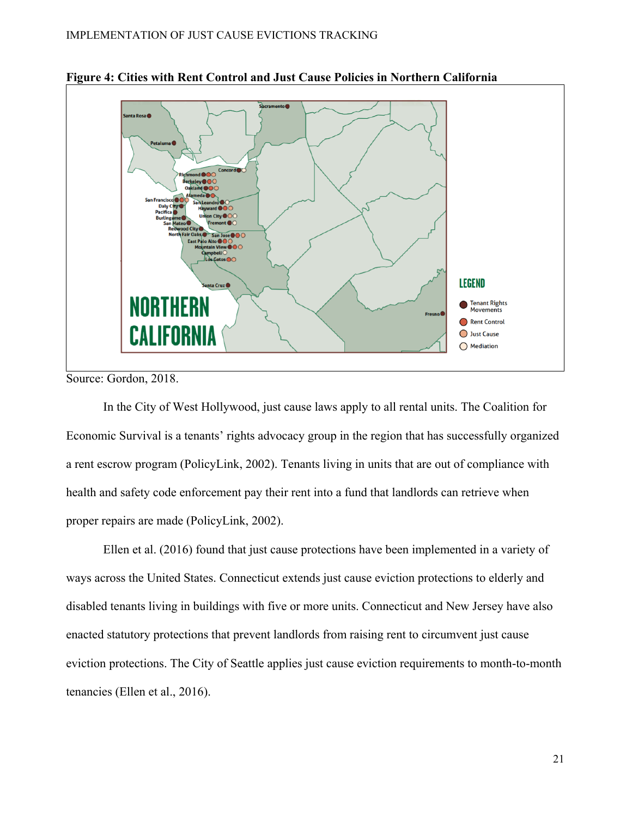

**Figure 4: Cities with Rent Control and Just Cause Policies in Northern California** 

Source: Gordon, 2018.

 In the City of West Hollywood, just cause laws apply to all rental units. The Coalition for Economic Survival is a tenants' rights advocacy group in the region that has successfully organized a rent escrow program (PolicyLink, 2002). Tenants living in units that are out of compliance with health and safety code enforcement pay their rent into a fund that landlords can retrieve when proper repairs are made (PolicyLink, 2002).

Ellen et al. (2016) found that just cause protections have been implemented in a variety of ways across the United States. Connecticut extends just cause eviction protections to elderly and disabled tenants living in buildings with five or more units. Connecticut and New Jersey have also enacted statutory protections that prevent landlords from raising rent to circumvent just cause eviction protections. The City of Seattle applies just cause eviction requirements to month-to-month tenancies (Ellen et al., 2016).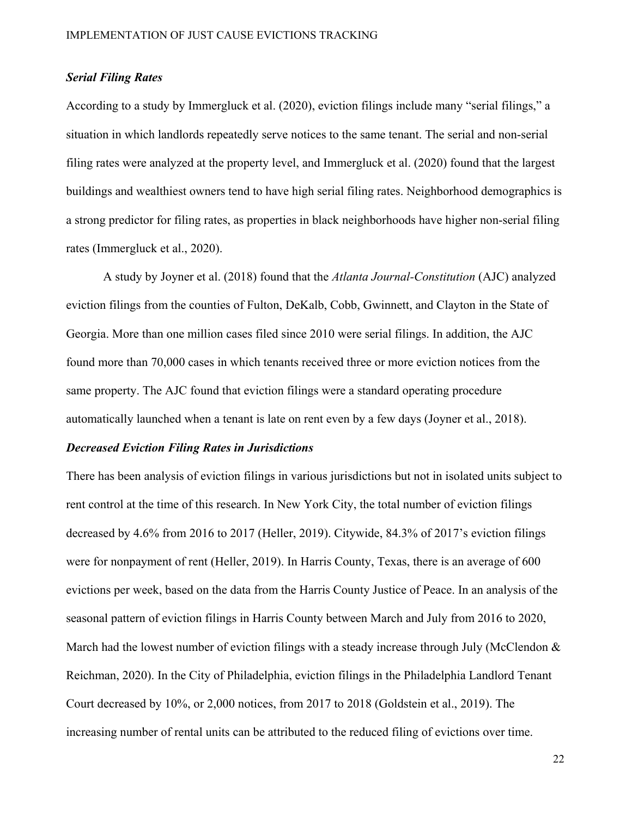#### *Serial Filing Rates*

According to a study by Immergluck et al. (2020), eviction filings include many "serial filings," a situation in which landlords repeatedly serve notices to the same tenant. The serial and non-serial filing rates were analyzed at the property level, and Immergluck et al. (2020) found that the largest buildings and wealthiest owners tend to have high serial filing rates. Neighborhood demographics is a strong predictor for filing rates, as properties in black neighborhoods have higher non-serial filing rates (Immergluck et al., 2020).

 A study by Joyner et al. (2018) found that the *Atlanta Journal-Constitution* (AJC) analyzed eviction filings from the counties of Fulton, DeKalb, Cobb, Gwinnett, and Clayton in the State of Georgia. More than one million cases filed since 2010 were serial filings. In addition, the AJC found more than 70,000 cases in which tenants received three or more eviction notices from the same property. The AJC found that eviction filings were a standard operating procedure automatically launched when a tenant is late on rent even by a few days (Joyner et al., 2018).

#### *Decreased Eviction Filing Rates in Jurisdictions*

There has been analysis of eviction filings in various jurisdictions but not in isolated units subject to rent control at the time of this research. In New York City, the total number of eviction filings decreased by 4.6% from 2016 to 2017 (Heller, 2019). Citywide, 84.3% of 2017's eviction filings were for nonpayment of rent (Heller, 2019). In Harris County, Texas, there is an average of 600 evictions per week, based on the data from the Harris County Justice of Peace. In an analysis of the seasonal pattern of eviction filings in Harris County between March and July from 2016 to 2020, March had the lowest number of eviction filings with a steady increase through July (McClendon  $&$ Reichman, 2020). In the City of Philadelphia, eviction filings in the Philadelphia Landlord Tenant Court decreased by 10%, or 2,000 notices, from 2017 to 2018 (Goldstein et al., 2019). The increasing number of rental units can be attributed to the reduced filing of evictions over time.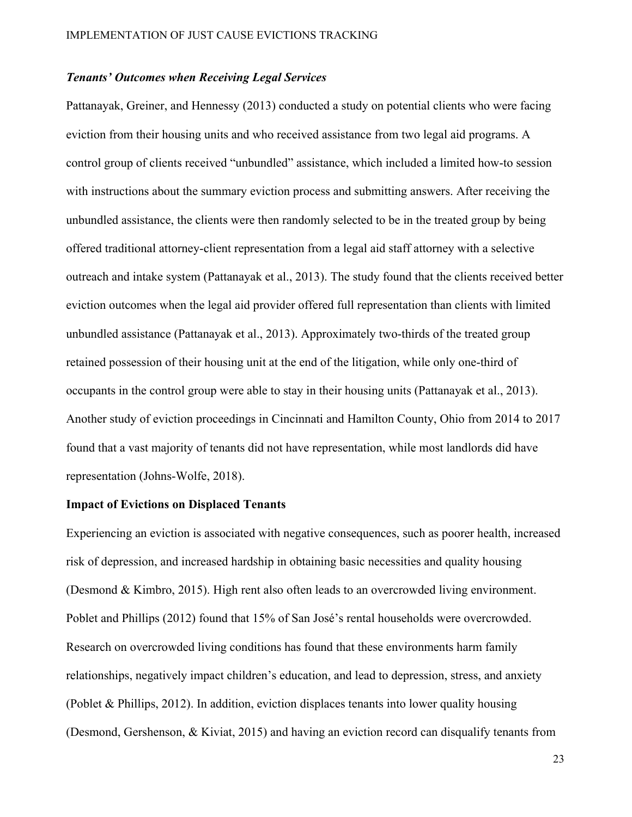#### *Tenants' Outcomes when Receiving Legal Services*

Pattanayak, Greiner, and Hennessy (2013) conducted a study on potential clients who were facing eviction from their housing units and who received assistance from two legal aid programs. A control group of clients received "unbundled" assistance, which included a limited how-to session with instructions about the summary eviction process and submitting answers. After receiving the unbundled assistance, the clients were then randomly selected to be in the treated group by being offered traditional attorney-client representation from a legal aid staff attorney with a selective outreach and intake system (Pattanayak et al., 2013). The study found that the clients received better eviction outcomes when the legal aid provider offered full representation than clients with limited unbundled assistance (Pattanayak et al., 2013). Approximately two-thirds of the treated group retained possession of their housing unit at the end of the litigation, while only one-third of occupants in the control group were able to stay in their housing units (Pattanayak et al., 2013). Another study of eviction proceedings in Cincinnati and Hamilton County, Ohio from 2014 to 2017 found that a vast majority of tenants did not have representation, while most landlords did have representation (Johns-Wolfe, 2018).

### **Impact of Evictions on Displaced Tenants**

Experiencing an eviction is associated with negative consequences, such as poorer health, increased risk of depression, and increased hardship in obtaining basic necessities and quality housing (Desmond & Kimbro, 2015). High rent also often leads to an overcrowded living environment. Poblet and Phillips (2012) found that 15% of San José's rental households were overcrowded. Research on overcrowded living conditions has found that these environments harm family relationships, negatively impact children's education, and lead to depression, stress, and anxiety (Poblet & Phillips, 2012). In addition, eviction displaces tenants into lower quality housing (Desmond, Gershenson, & Kiviat, 2015) and having an eviction record can disqualify tenants from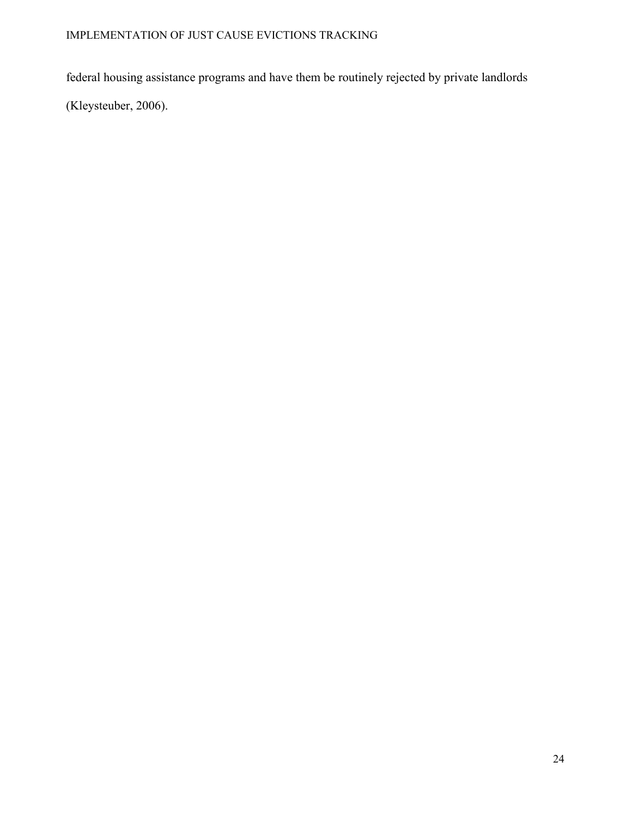federal housing assistance programs and have them be routinely rejected by private landlords

(Kleysteuber, 2006).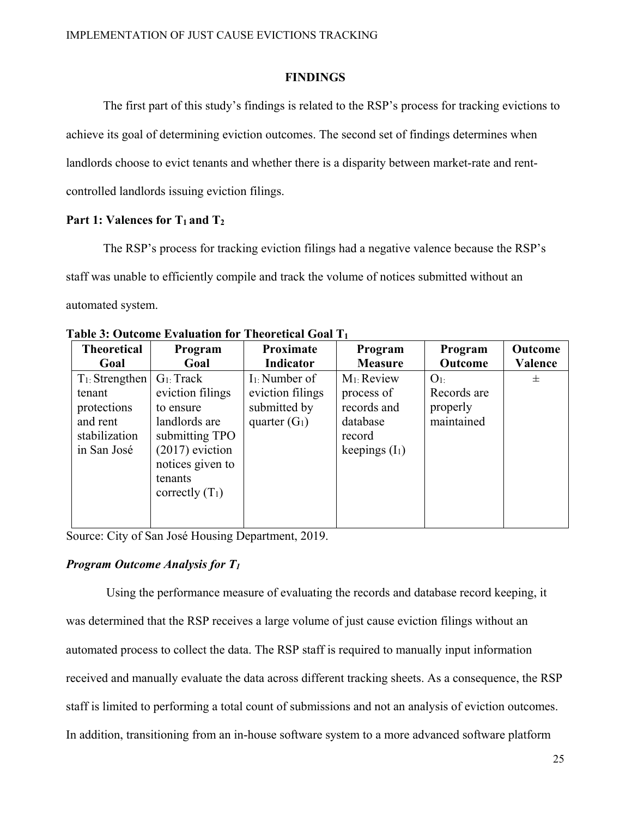#### **FINDINGS**

The first part of this study's findings is related to the RSP's process for tracking evictions to achieve its goal of determining eviction outcomes. The second set of findings determines when landlords choose to evict tenants and whether there is a disparity between market-rate and rentcontrolled landlords issuing eviction filings.

#### Part 1: Valences for  $T_1$  and  $T_2$

The RSP's process for tracking eviction filings had a negative valence because the RSP's staff was unable to efficiently compile and track the volume of notices submitted without an automated system.

| <b>Theoretical</b>                                                                      | Program                                                                                                                                                    | Proximate                                                               | Program                                                                               | Program                                                 | Outcome |
|-----------------------------------------------------------------------------------------|------------------------------------------------------------------------------------------------------------------------------------------------------------|-------------------------------------------------------------------------|---------------------------------------------------------------------------------------|---------------------------------------------------------|---------|
| Goal                                                                                    | Goal                                                                                                                                                       | Indicator                                                               | <b>Measure</b>                                                                        | Outcome                                                 | Valence |
| $T_1$ : Strengthen<br>tenant<br>protections<br>and rent<br>stabilization<br>in San José | $G_1$ : Track<br>eviction filings<br>to ensure<br>landlords are<br>submitting TPO<br>$(2017)$ eviction<br>notices given to<br>tenants<br>correctly $(T_1)$ | $I_1$ : Number of<br>eviction filings<br>submitted by<br>quarter $(G1)$ | $M_1$ : Review<br>process of<br>records and<br>database<br>record<br>keepings $(I_1)$ | O <sub>1</sub><br>Records are<br>properly<br>maintained | 士       |

**Table 3: Outcome Evaluation for Theoretical Goal T1**

Source: City of San José Housing Department, 2019.

#### *Program Outcome Analysis for T1*

Using the performance measure of evaluating the records and database record keeping, it was determined that the RSP receives a large volume of just cause eviction filings without an automated process to collect the data. The RSP staff is required to manually input information received and manually evaluate the data across different tracking sheets. As a consequence, the RSP staff is limited to performing a total count of submissions and not an analysis of eviction outcomes. In addition, transitioning from an in-house software system to a more advanced software platform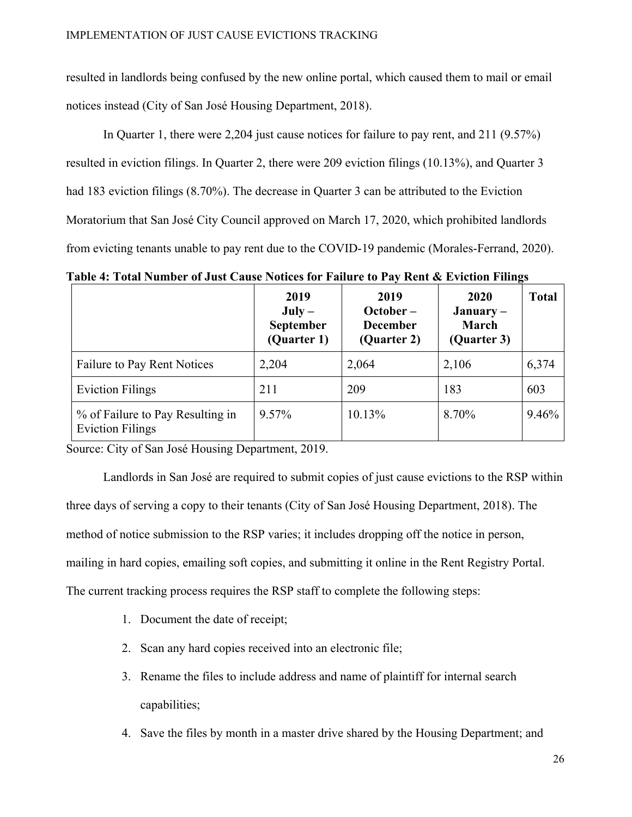resulted in landlords being confused by the new online portal, which caused them to mail or email notices instead (City of San José Housing Department, 2018).

In Quarter 1, there were 2,204 just cause notices for failure to pay rent, and 211 (9.57%) resulted in eviction filings. In Quarter 2, there were 209 eviction filings (10.13%), and Quarter 3 had 183 eviction filings (8.70%). The decrease in Quarter 3 can be attributed to the Eviction Moratorium that San José City Council approved on March 17, 2020, which prohibited landlords from evicting tenants unable to pay rent due to the COVID-19 pandemic (Morales-Ferrand, 2020).

**Table 4: Total Number of Just Cause Notices for Failure to Pay Rent & Eviction Filings** 

|                                                             | 2019<br>$July -$<br><b>September</b><br>(Quarter 1) | 2019<br>$October -$<br><b>December</b><br>(Quarter 2) | <b>2020</b><br>$January -$<br>March<br>(Quarter 3) | <b>Total</b> |
|-------------------------------------------------------------|-----------------------------------------------------|-------------------------------------------------------|----------------------------------------------------|--------------|
| Failure to Pay Rent Notices                                 | 2,204                                               | 2,064                                                 | 2,106                                              | 6,374        |
| <b>Eviction Filings</b>                                     | 211                                                 | 209                                                   | 183                                                | 603          |
| % of Failure to Pay Resulting in<br><b>Eviction Filings</b> | $9.57\%$                                            | 10.13%                                                | 8.70%                                              | 9.46%        |

Source: City of San José Housing Department, 2019.

Landlords in San José are required to submit copies of just cause evictions to the RSP within three days of serving a copy to their tenants (City of San José Housing Department, 2018). The method of notice submission to the RSP varies; it includes dropping off the notice in person, mailing in hard copies, emailing soft copies, and submitting it online in the Rent Registry Portal. The current tracking process requires the RSP staff to complete the following steps:

- 1. Document the date of receipt;
- 2. Scan any hard copies received into an electronic file;
- 3. Rename the files to include address and name of plaintiff for internal search capabilities;
- 4. Save the files by month in a master drive shared by the Housing Department; and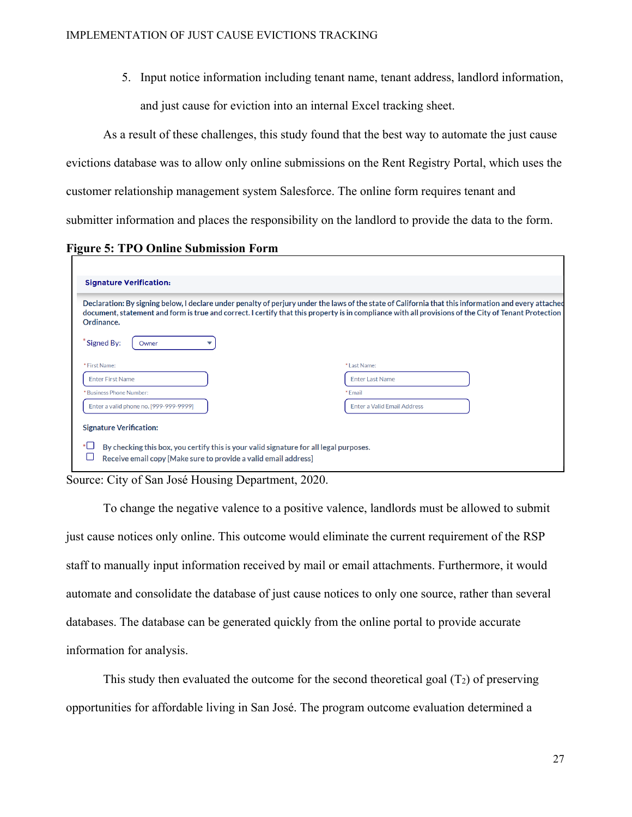5. Input notice information including tenant name, tenant address, landlord information,

and just cause for eviction into an internal Excel tracking sheet.

As a result of these challenges, this study found that the best way to automate the just cause evictions database was to allow only online submissions on the Rent Registry Portal, which uses the customer relationship management system Salesforce. The online form requires tenant and submitter information and places the responsibility on the landlord to provide the data to the form.

#### **Figure 5: TPO Online Submission Form**

| Ordinance.                             | Declaration: By signing below, I declare under penalty of perjury under the laws of the state of California that this information and every attached<br>document, statement and form is true and correct. I certify that this property is in compliance with all provisions of the City of Tenant Protection |
|----------------------------------------|--------------------------------------------------------------------------------------------------------------------------------------------------------------------------------------------------------------------------------------------------------------------------------------------------------------|
| Signed By:<br>Owner                    |                                                                                                                                                                                                                                                                                                              |
| * First Name:                          | * Last Name:                                                                                                                                                                                                                                                                                                 |
| <b>Enter First Name</b>                | <b>Enter Last Name</b>                                                                                                                                                                                                                                                                                       |
| *Business Phone Number:                | * Fmail                                                                                                                                                                                                                                                                                                      |
| Enter a valid phone no. [999-999-9999] | <b>Enter a Valid Email Address</b>                                                                                                                                                                                                                                                                           |

Source: City of San José Housing Department, 2020.

To change the negative valence to a positive valence, landlords must be allowed to submit just cause notices only online. This outcome would eliminate the current requirement of the RSP staff to manually input information received by mail or email attachments. Furthermore, it would automate and consolidate the database of just cause notices to only one source, rather than several databases. The database can be generated quickly from the online portal to provide accurate information for analysis.

 This study then evaluated the outcome for the second theoretical goal (T2) of preserving opportunities for affordable living in San José. The program outcome evaluation determined a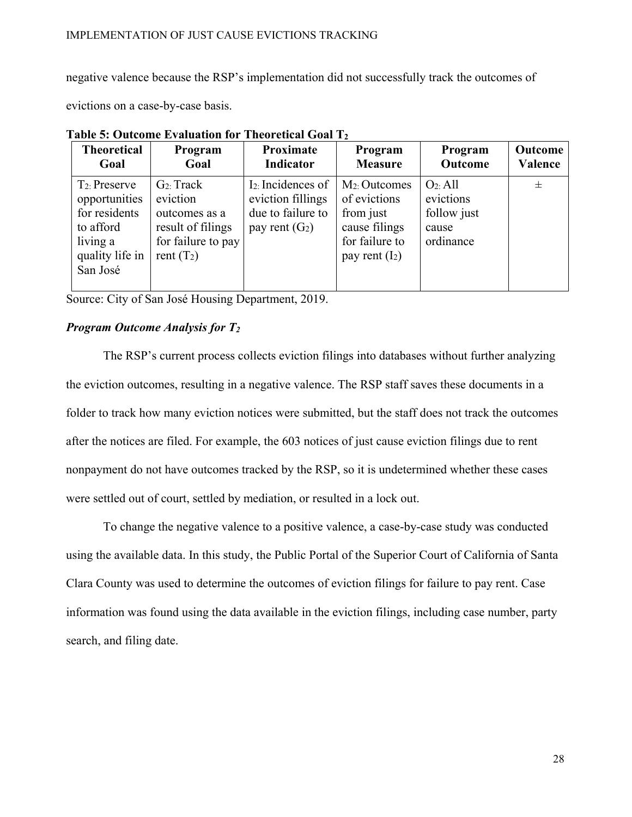negative valence because the RSP's implementation did not successfully track the outcomes of

evictions on a case-by-case basis.

| <b>Theoretical</b>                                                                                         | Program                                                                                               | Proximate                                                                                    | Program                                                                                              | Program                                                       | Outcome |
|------------------------------------------------------------------------------------------------------------|-------------------------------------------------------------------------------------------------------|----------------------------------------------------------------------------------------------|------------------------------------------------------------------------------------------------------|---------------------------------------------------------------|---------|
| Goal                                                                                                       | Goal                                                                                                  | Indicator                                                                                    | <b>Measure</b>                                                                                       | Outcome                                                       | Valence |
| $T_2$ : Preserve<br>opportunities<br>for residents<br>to afford<br>living a<br>quality life in<br>San José | $G_2$ : Track<br>eviction<br>outcomes as a<br>result of filings<br>for failure to pay<br>rent $(T_2)$ | I <sub>2</sub> : Incidences of<br>eviction fillings<br>due to failure to<br>pay rent $(G_2)$ | $M_2$ : Outcomes<br>of evictions<br>from just<br>cause filings<br>for failure to<br>pay rent $(I_2)$ | $O_2$ : All<br>evictions<br>follow just<br>cause<br>ordinance | $\pm$   |

**Table 5: Outcome Evaluation for Theoretical Goal T2**

Source: City of San José Housing Department, 2019.

#### *Program Outcome Analysis for T2*

The RSP's current process collects eviction filings into databases without further analyzing the eviction outcomes, resulting in a negative valence. The RSP staff saves these documents in a folder to track how many eviction notices were submitted, but the staff does not track the outcomes after the notices are filed. For example, the 603 notices of just cause eviction filings due to rent nonpayment do not have outcomes tracked by the RSP, so it is undetermined whether these cases were settled out of court, settled by mediation, or resulted in a lock out.

To change the negative valence to a positive valence, a case-by-case study was conducted using the available data. In this study, the Public Portal of the Superior Court of California of Santa Clara County was used to determine the outcomes of eviction filings for failure to pay rent. Case information was found using the data available in the eviction filings, including case number, party search, and filing date.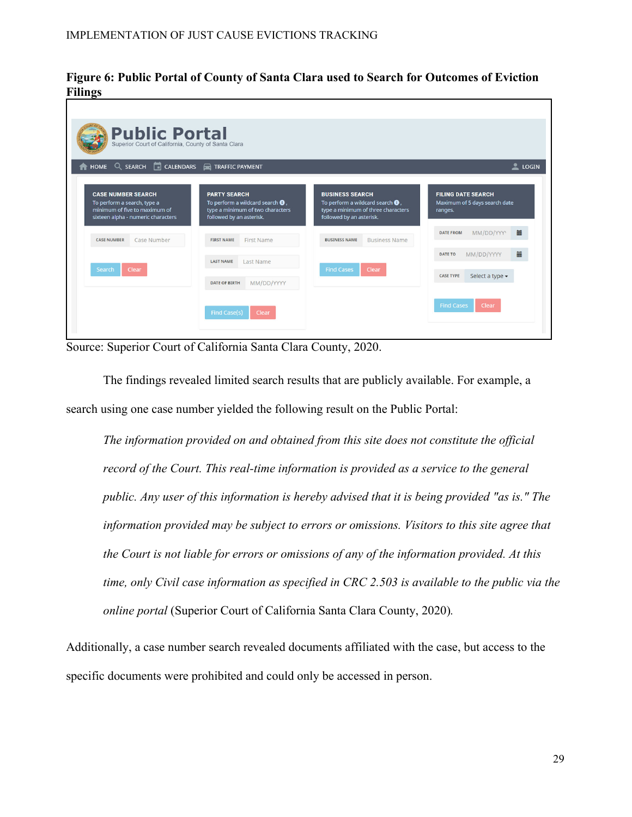**Figure 6: Public Portal of County of Santa Clara used to Search for Outcomes of Eviction Filings** 

| HOME Q SEARCH CALENDARS TRAFFIC PAYMENT                                                                                         |                                                                                                                                   |                                                                                                                                       | LogIN                                                                 |
|---------------------------------------------------------------------------------------------------------------------------------|-----------------------------------------------------------------------------------------------------------------------------------|---------------------------------------------------------------------------------------------------------------------------------------|-----------------------------------------------------------------------|
| <b>CASE NUMBER SEARCH</b><br>To perform a search, type a<br>minimum of five to maximum of<br>sixteen alpha - numeric characters | <b>PARTY SEARCH</b><br>To perform a wildcard search $\bigoplus$ ,<br>type a minimum of two characters<br>followed by an asterisk. | <b>BUSINESS SEARCH</b><br>To perform a wildcard search $\bigcirc$ ,<br>type a minimum of three characters<br>followed by an asterisk. | <b>FILING DATE SEARCH</b><br>Maximum of 5 days search date<br>ranges. |
| Case Number<br><b>CASE NUMBER</b>                                                                                               | First Name<br><b>FIRST NAME</b>                                                                                                   | <b>BUSINESS NAME</b><br><b>Business Name</b>                                                                                          | 篇<br>MM/DD/YYY<br><b>DATE FROM</b>                                    |
|                                                                                                                                 | <b>LAST NAME</b><br>Last Name                                                                                                     |                                                                                                                                       | 篇<br>MM/DD/YYYY<br><b>DATE TO</b>                                     |
| Clear<br>Search                                                                                                                 |                                                                                                                                   | <b>Find Cases</b><br>Clear                                                                                                            | <b>CASE TYPE</b><br>Select a type -                                   |

Source: Superior Court of California Santa Clara County, 2020.

The findings revealed limited search results that are publicly available. For example, a search using one case number yielded the following result on the Public Portal:

*The information provided on and obtained from this site does not constitute the official record of the Court. This real-time information is provided as a service to the general public. Any user of this information is hereby advised that it is being provided "as is." The information provided may be subject to errors or omissions. Visitors to this site agree that the Court is not liable for errors or omissions of any of the information provided. At this time, only Civil case information as specified in CRC 2.503 is available to the public via the online portal* (Superior Court of California Santa Clara County, 2020)*.*

Additionally, a case number search revealed documents affiliated with the case, but access to the specific documents were prohibited and could only be accessed in person.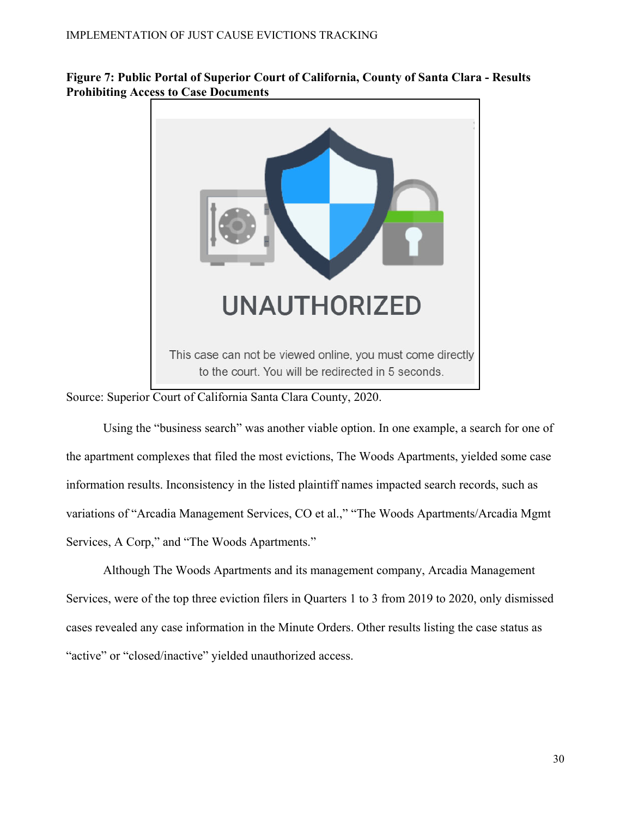

**Figure 7: Public Portal of Superior Court of California, County of Santa Clara - Results Prohibiting Access to Case Documents** 

Source: Superior Court of California Santa Clara County, 2020.

Using the "business search" was another viable option. In one example, a search for one of the apartment complexes that filed the most evictions, The Woods Apartments, yielded some case information results. Inconsistency in the listed plaintiff names impacted search records, such as variations of "Arcadia Management Services, CO et al.," "The Woods Apartments/Arcadia Mgmt Services, A Corp," and "The Woods Apartments."

Although The Woods Apartments and its management company, Arcadia Management Services, were of the top three eviction filers in Quarters 1 to 3 from 2019 to 2020, only dismissed cases revealed any case information in the Minute Orders. Other results listing the case status as "active" or "closed/inactive" yielded unauthorized access.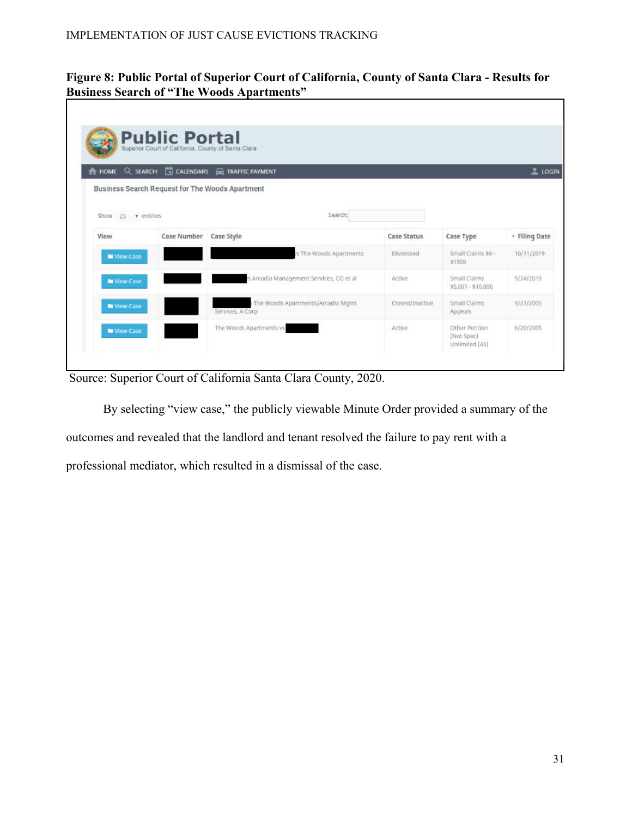### **Figure 8: Public Portal of Superior Court of California, County of Santa Clara - Results for Business Search of "The Woods Apartments"**

|                     |                    | HOME Q SEARCH <b>TO CALENDARS TRAFFIC PAYMENT</b>     |                    |                                    | $2\ \text{LOGIN}$ |
|---------------------|--------------------|-------------------------------------------------------|--------------------|------------------------------------|-------------------|
|                     |                    | Business Search Request for The Woods Apartment       |                    |                                    |                   |
| Show $25$ v entries |                    | Search:                                               |                    |                                    |                   |
| View                | <b>Case Number</b> | Case Style                                            | <b>Case Status</b> | Case Type                          | * Filing Date     |
| <b>N</b> View Case  |                    | s The Woods Apartments                                | Dismissed          | Small Claims \$0 -<br>\$1500       | 10/11/2019        |
| <b>In View Case</b> |                    | s Arcadia Management Services, CO et al               | Active             | Small Claims<br>\$5,001 - \$10,000 | 9/24/2019         |
| <b>N</b> View Case  |                    | The Woods Apartments/Arcadia Mgmt<br>Services, A Corp | Closed/Inactive    | Small Claims<br>Appeals            | 9/23/2005         |
|                     |                    |                                                       | Active             | Other Petition                     | 6/20/2005         |

Source: Superior Court of California Santa Clara County, 2020.

 By selecting "view case," the publicly viewable Minute Order provided a summary of the outcomes and revealed that the landlord and tenant resolved the failure to pay rent with a professional mediator, which resulted in a dismissal of the case.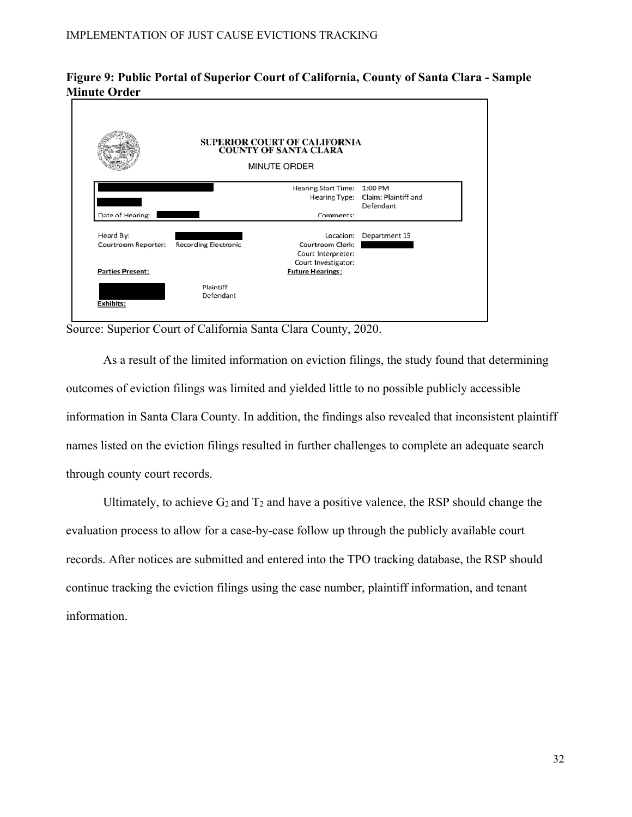### **Figure 9: Public Portal of Superior Court of California, County of Santa Clara - Sample Minute Order**



Source: Superior Court of California Santa Clara County, 2020.

As a result of the limited information on eviction filings, the study found that determining outcomes of eviction filings was limited and yielded little to no possible publicly accessible information in Santa Clara County. In addition, the findings also revealed that inconsistent plaintiff names listed on the eviction filings resulted in further challenges to complete an adequate search through county court records.

Ultimately, to achieve  $G_2$  and  $T_2$  and have a positive valence, the RSP should change the evaluation process to allow for a case-by-case follow up through the publicly available court records. After notices are submitted and entered into the TPO tracking database, the RSP should continue tracking the eviction filings using the case number, plaintiff information, and tenant information.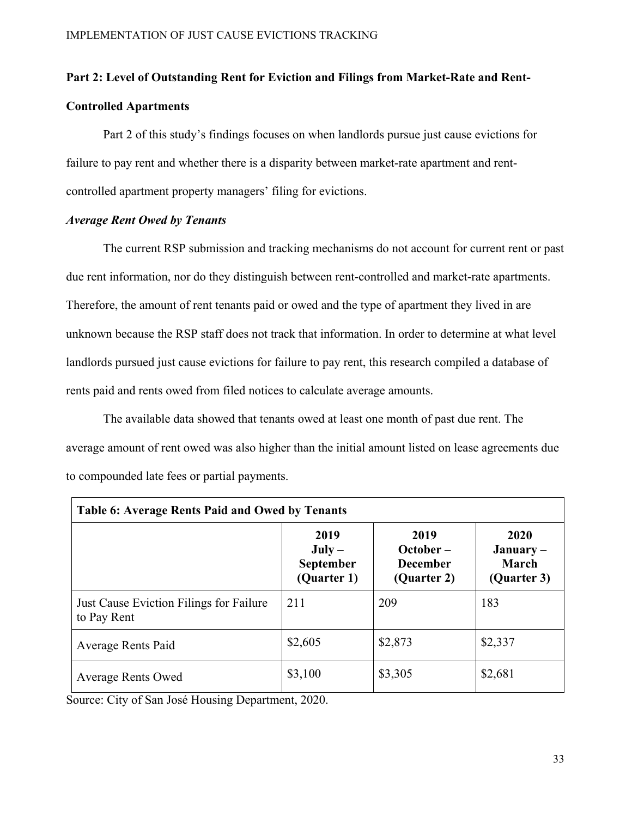# **Part 2: Level of Outstanding Rent for Eviction and Filings from Market-Rate and Rent-Controlled Apartments**

Part 2 of this study's findings focuses on when landlords pursue just cause evictions for failure to pay rent and whether there is a disparity between market-rate apartment and rentcontrolled apartment property managers' filing for evictions.

#### *Average Rent Owed by Tenants*

The current RSP submission and tracking mechanisms do not account for current rent or past due rent information, nor do they distinguish between rent-controlled and market-rate apartments. Therefore, the amount of rent tenants paid or owed and the type of apartment they lived in are unknown because the RSP staff does not track that information. In order to determine at what level landlords pursued just cause evictions for failure to pay rent, this research compiled a database of rents paid and rents owed from filed notices to calculate average amounts.

The available data showed that tenants owed at least one month of past due rent. The average amount of rent owed was also higher than the initial amount listed on lease agreements due to compounded late fees or partial payments.

| Table 6: Average Rents Paid and Owed by Tenants        |                                                     |                                                       |                                                    |  |  |  |
|--------------------------------------------------------|-----------------------------------------------------|-------------------------------------------------------|----------------------------------------------------|--|--|--|
|                                                        | 2019<br>$July -$<br><b>September</b><br>(Quarter 1) | 2019<br>$October -$<br><b>December</b><br>(Quarter 2) | 2020<br>$January -$<br><b>March</b><br>(Quarter 3) |  |  |  |
| Just Cause Eviction Filings for Failure<br>to Pay Rent | 211                                                 | 209                                                   | 183                                                |  |  |  |
| Average Rents Paid                                     | \$2,605                                             | \$2,873                                               | \$2,337                                            |  |  |  |
| <b>Average Rents Owed</b>                              | \$3,100                                             | \$3,305                                               | \$2,681                                            |  |  |  |

Source: City of San José Housing Department, 2020.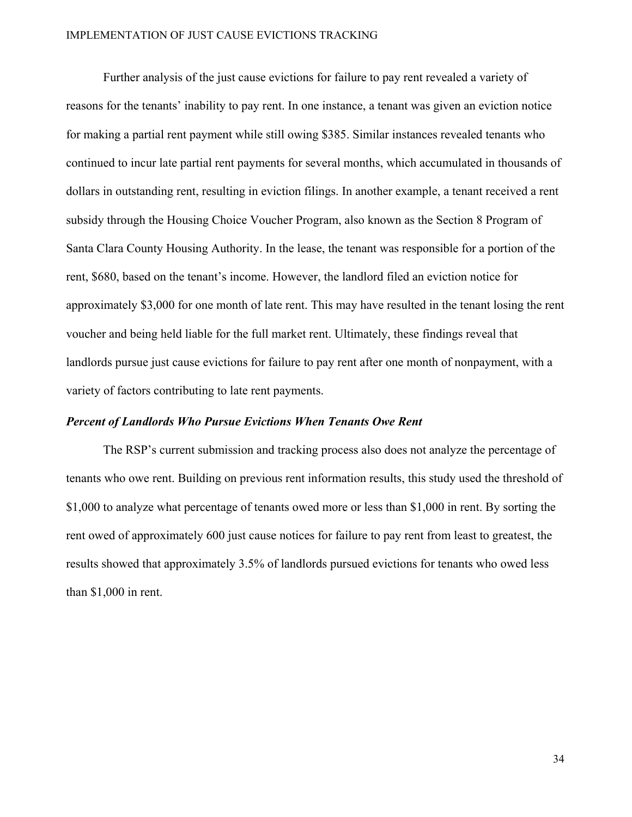#### IMPLEMENTATION OF JUST CAUSE EVICTIONS TRACKING

Further analysis of the just cause evictions for failure to pay rent revealed a variety of reasons for the tenants' inability to pay rent. In one instance, a tenant was given an eviction notice for making a partial rent payment while still owing \$385. Similar instances revealed tenants who continued to incur late partial rent payments for several months, which accumulated in thousands of dollars in outstanding rent, resulting in eviction filings. In another example, a tenant received a rent subsidy through the Housing Choice Voucher Program, also known as the Section 8 Program of Santa Clara County Housing Authority. In the lease, the tenant was responsible for a portion of the rent, \$680, based on the tenant's income. However, the landlord filed an eviction notice for approximately \$3,000 for one month of late rent. This may have resulted in the tenant losing the rent voucher and being held liable for the full market rent. Ultimately, these findings reveal that landlords pursue just cause evictions for failure to pay rent after one month of nonpayment, with a variety of factors contributing to late rent payments.

#### *Percent of Landlords Who Pursue Evictions When Tenants Owe Rent*

The RSP's current submission and tracking process also does not analyze the percentage of tenants who owe rent. Building on previous rent information results, this study used the threshold of \$1,000 to analyze what percentage of tenants owed more or less than \$1,000 in rent. By sorting the rent owed of approximately 600 just cause notices for failure to pay rent from least to greatest, the results showed that approximately 3.5% of landlords pursued evictions for tenants who owed less than \$1,000 in rent.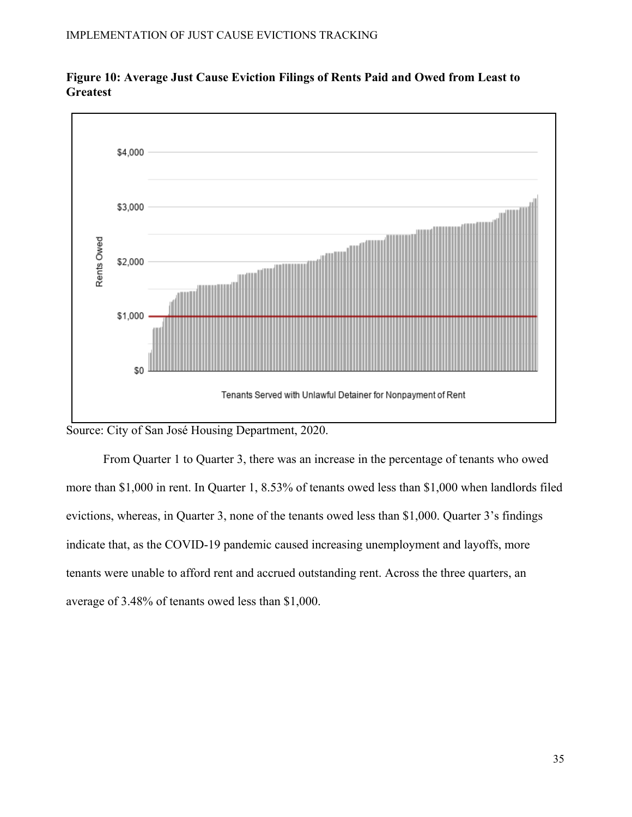



Source: City of San José Housing Department, 2020.

From Quarter 1 to Quarter 3, there was an increase in the percentage of tenants who owed more than \$1,000 in rent. In Quarter 1, 8.53% of tenants owed less than \$1,000 when landlords filed evictions, whereas, in Quarter 3, none of the tenants owed less than \$1,000. Quarter 3's findings indicate that, as the COVID-19 pandemic caused increasing unemployment and layoffs, more tenants were unable to afford rent and accrued outstanding rent. Across the three quarters, an average of 3.48% of tenants owed less than \$1,000.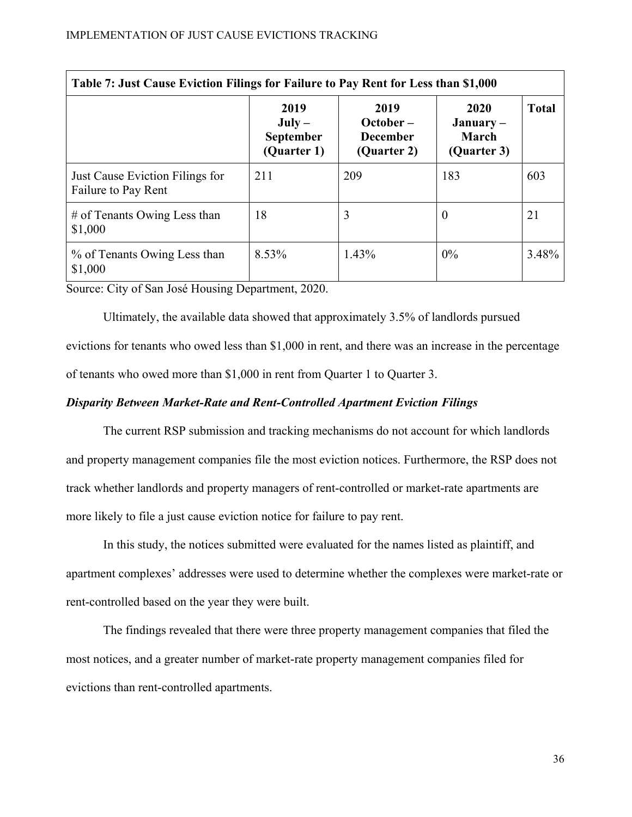| Table 7: Just Cause Eviction Filings for Failure to Pay Rent for Less than \$1,000 |                                              |                                                       |                                             |              |  |  |  |  |
|------------------------------------------------------------------------------------|----------------------------------------------|-------------------------------------------------------|---------------------------------------------|--------------|--|--|--|--|
|                                                                                    | 2019<br>$July -$<br>September<br>(Quarter 1) | 2019<br>$October -$<br><b>December</b><br>(Quarter 2) | 2020<br>$January -$<br>March<br>(Quarter 3) | <b>Total</b> |  |  |  |  |
| Just Cause Eviction Filings for<br>Failure to Pay Rent                             | 211                                          | 209                                                   | 183                                         | 603          |  |  |  |  |
| $#$ of Tenants Owing Less than<br>\$1,000                                          | 18                                           | 3                                                     | $\theta$                                    | 21           |  |  |  |  |
| % of Tenants Owing Less than<br>\$1,000                                            | 8.53%                                        | 1.43%                                                 | $0\%$                                       | 3.48%        |  |  |  |  |

Source: City of San José Housing Department, 2020.

Ultimately, the available data showed that approximately 3.5% of landlords pursued evictions for tenants who owed less than \$1,000 in rent, and there was an increase in the percentage of tenants who owed more than \$1,000 in rent from Quarter 1 to Quarter 3.

### *Disparity Between Market-Rate and Rent-Controlled Apartment Eviction Filings*

 The current RSP submission and tracking mechanisms do not account for which landlords and property management companies file the most eviction notices. Furthermore, the RSP does not track whether landlords and property managers of rent-controlled or market-rate apartments are more likely to file a just cause eviction notice for failure to pay rent.

In this study, the notices submitted were evaluated for the names listed as plaintiff, and apartment complexes' addresses were used to determine whether the complexes were market-rate or rent-controlled based on the year they were built.

The findings revealed that there were three property management companies that filed the most notices, and a greater number of market-rate property management companies filed for evictions than rent-controlled apartments.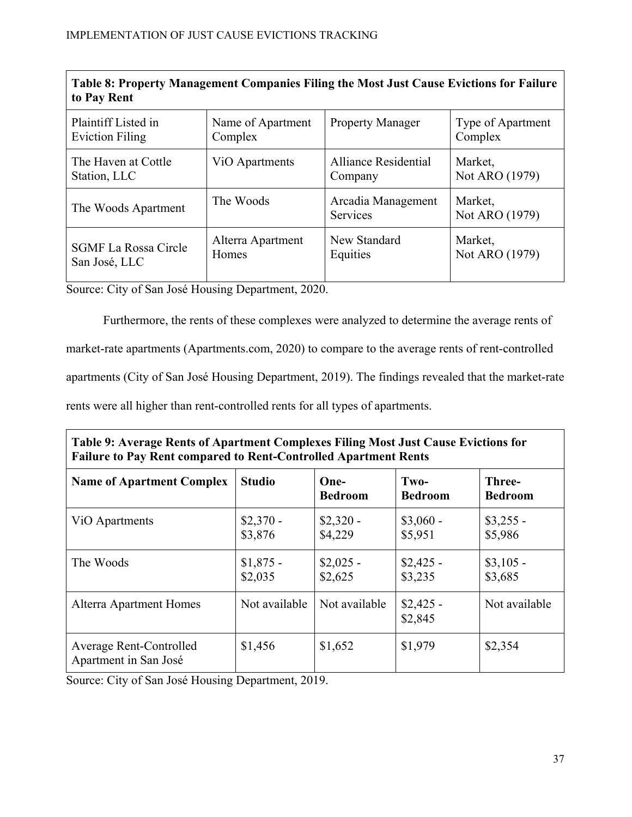| Table 8: Property Management Companies Filing the Most Just Cause Evictions for Failure<br>to Pay Rent |                             |                                       |                           |  |  |  |  |
|--------------------------------------------------------------------------------------------------------|-----------------------------|---------------------------------------|---------------------------|--|--|--|--|
| Plaintiff Listed in                                                                                    | Name of Apartment           | <b>Property Manager</b>               | Type of Apartment         |  |  |  |  |
| <b>Eviction Filing</b>                                                                                 | Complex                     |                                       | Complex                   |  |  |  |  |
| The Haven at Cottle                                                                                    | V <sub>i</sub> O Apartments | Alliance Residential                  | Market,                   |  |  |  |  |
| Station, LLC                                                                                           |                             | Company                               | Not ARO (1979)            |  |  |  |  |
| The Woods Apartment                                                                                    | The Woods                   | Arcadia Management<br><b>Services</b> | Market,<br>Not ARO (1979) |  |  |  |  |
| <b>SGMF La Rossa Circle</b>                                                                            | Alterra Apartment           | New Standard                          | Market,                   |  |  |  |  |
| San José, LLC                                                                                          | Homes                       | Equities                              | Not ARO (1979)            |  |  |  |  |

Source: City of San José Housing Department, 2020.

Г

Furthermore, the rents of these complexes were analyzed to determine the average rents of market-rate apartments (Apartments.com, 2020) to compare to the average rents of rent-controlled apartments (City of San José Housing Department, 2019). The findings revealed that the market-rate rents were all higher than rent-controlled rents for all types of apartments.

| Table 9: Average Rents of Apartment Complexes Filing Most Just Cause Evictions for<br><b>Failure to Pay Rent compared to Rent-Controlled Apartment Rents</b> |                       |                        |                        |                          |  |  |
|--------------------------------------------------------------------------------------------------------------------------------------------------------------|-----------------------|------------------------|------------------------|--------------------------|--|--|
| <b>Name of Apartment Complex</b>                                                                                                                             | <b>Studio</b>         | One-<br><b>Bedroom</b> | Two-<br><b>Bedroom</b> | Three-<br><b>Bedroom</b> |  |  |
| ViO Apartments                                                                                                                                               | $$2,370-$<br>\$3,876  | $$2,320-$<br>\$4,229   | $$3,060 -$<br>\$5,951  | $$3,255$ -<br>\$5,986    |  |  |
| The Woods                                                                                                                                                    | $$1,875$ -<br>\$2,035 | $$2,025$ -<br>\$2,625  | $$2,425$ -<br>\$3,235  | $$3,105$ -<br>\$3,685    |  |  |
| Alterra Apartment Homes                                                                                                                                      | Not available         | Not available          | $$2,425$ -<br>\$2,845  | Not available            |  |  |
| Average Rent-Controlled<br>Apartment in San José                                                                                                             | \$1,456               | \$1,652                | \$1,979                | \$2,354                  |  |  |

Source: City of San José Housing Department, 2019.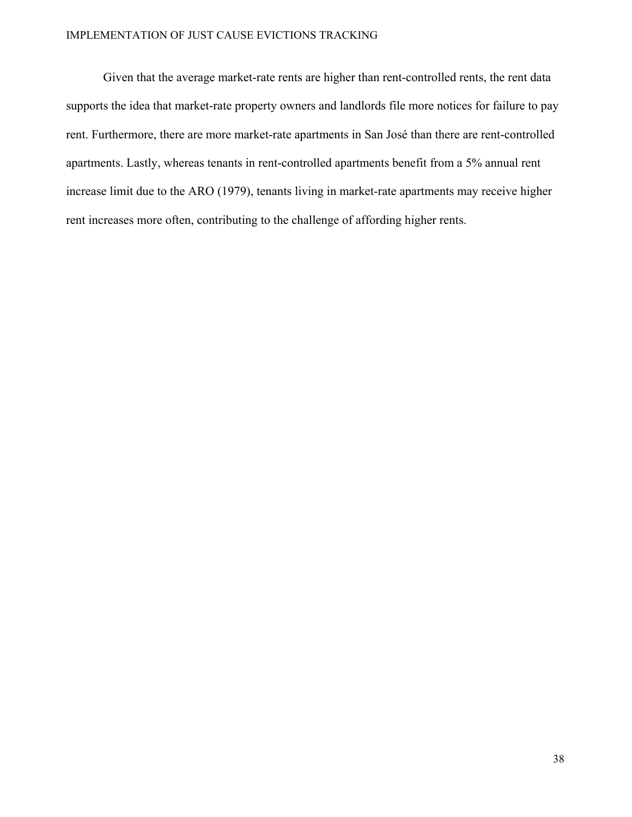#### IMPLEMENTATION OF JUST CAUSE EVICTIONS TRACKING

Given that the average market-rate rents are higher than rent-controlled rents, the rent data supports the idea that market-rate property owners and landlords file more notices for failure to pay rent. Furthermore, there are more market-rate apartments in San José than there are rent-controlled apartments. Lastly, whereas tenants in rent-controlled apartments benefit from a 5% annual rent increase limit due to the ARO (1979), tenants living in market-rate apartments may receive higher rent increases more often, contributing to the challenge of affording higher rents.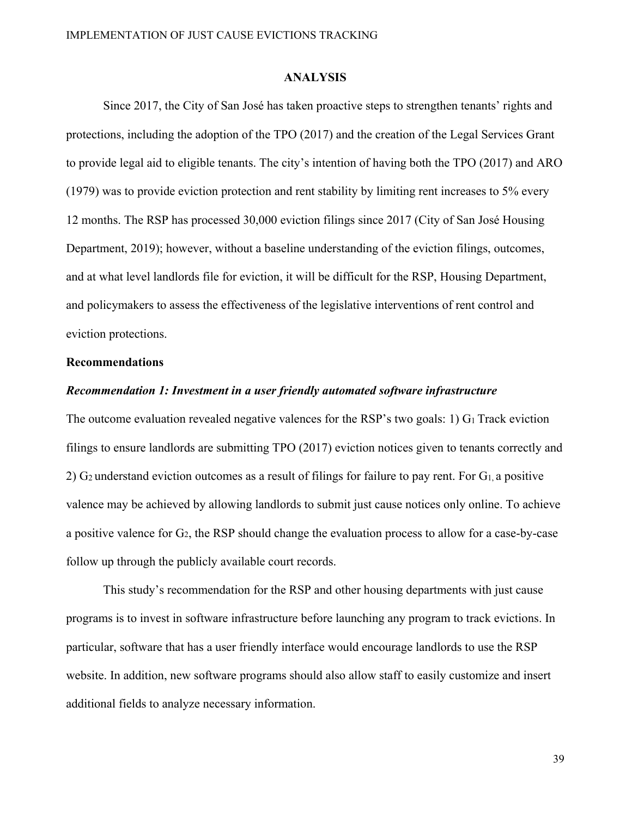#### **ANALYSIS**

Since 2017, the City of San José has taken proactive steps to strengthen tenants' rights and protections, including the adoption of the TPO (2017) and the creation of the Legal Services Grant to provide legal aid to eligible tenants. The city's intention of having both the TPO (2017) and ARO (1979) was to provide eviction protection and rent stability by limiting rent increases to 5% every 12 months. The RSP has processed 30,000 eviction filings since 2017 (City of San José Housing Department, 2019); however, without a baseline understanding of the eviction filings, outcomes, and at what level landlords file for eviction, it will be difficult for the RSP, Housing Department, and policymakers to assess the effectiveness of the legislative interventions of rent control and eviction protections.

#### **Recommendations**

#### *Recommendation 1: Investment in a user friendly automated software infrastructure*

The outcome evaluation revealed negative valences for the RSP's two goals: 1)  $G_1$  Track eviction filings to ensure landlords are submitting TPO (2017) eviction notices given to tenants correctly and 2) G2 understand eviction outcomes as a result of filings for failure to pay rent. For G1, a positive valence may be achieved by allowing landlords to submit just cause notices only online. To achieve a positive valence for G<sub>2</sub>, the RSP should change the evaluation process to allow for a case-by-case follow up through the publicly available court records.

 This study's recommendation for the RSP and other housing departments with just cause programs is to invest in software infrastructure before launching any program to track evictions. In particular, software that has a user friendly interface would encourage landlords to use the RSP website. In addition, new software programs should also allow staff to easily customize and insert additional fields to analyze necessary information.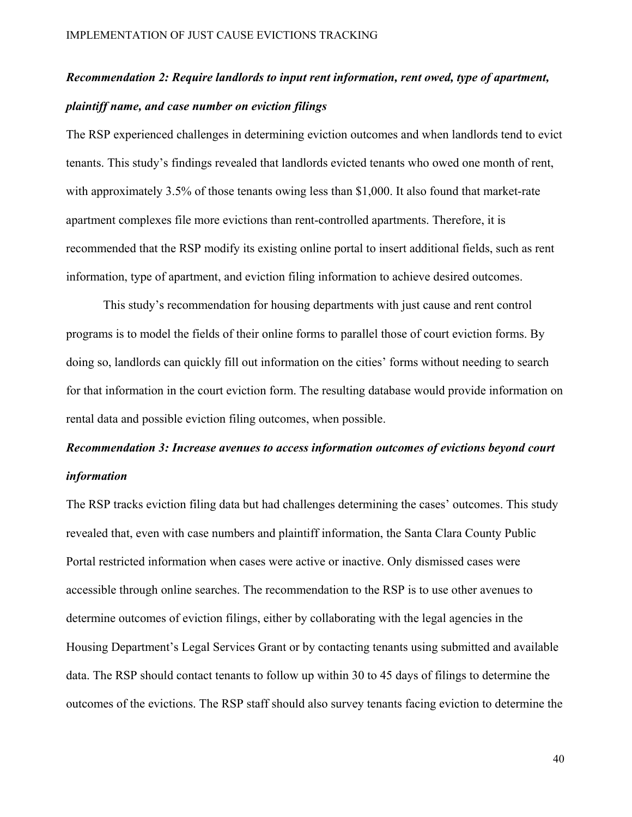# *Recommendation 2: Require landlords to input rent information, rent owed, type of apartment, plaintiff name, and case number on eviction filings*

The RSP experienced challenges in determining eviction outcomes and when landlords tend to evict tenants. This study's findings revealed that landlords evicted tenants who owed one month of rent, with approximately 3.5% of those tenants owing less than \$1,000. It also found that market-rate apartment complexes file more evictions than rent-controlled apartments. Therefore, it is recommended that the RSP modify its existing online portal to insert additional fields, such as rent information, type of apartment, and eviction filing information to achieve desired outcomes.

This study's recommendation for housing departments with just cause and rent control programs is to model the fields of their online forms to parallel those of court eviction forms. By doing so, landlords can quickly fill out information on the cities' forms without needing to search for that information in the court eviction form. The resulting database would provide information on rental data and possible eviction filing outcomes, when possible.

# *Recommendation 3: Increase avenues to access information outcomes of evictions beyond court information*

The RSP tracks eviction filing data but had challenges determining the cases' outcomes. This study revealed that, even with case numbers and plaintiff information, the Santa Clara County Public Portal restricted information when cases were active or inactive. Only dismissed cases were accessible through online searches. The recommendation to the RSP is to use other avenues to determine outcomes of eviction filings, either by collaborating with the legal agencies in the Housing Department's Legal Services Grant or by contacting tenants using submitted and available data. The RSP should contact tenants to follow up within 30 to 45 days of filings to determine the outcomes of the evictions. The RSP staff should also survey tenants facing eviction to determine the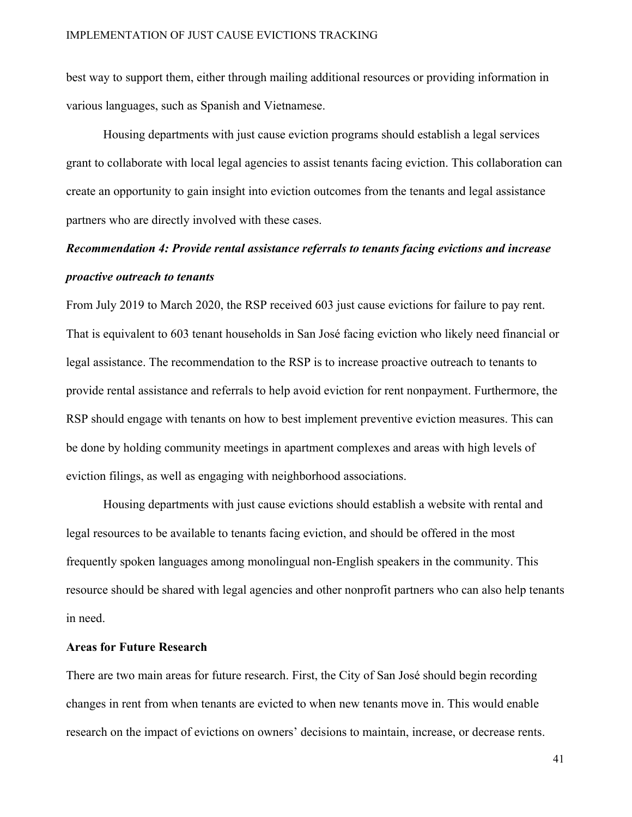best way to support them, either through mailing additional resources or providing information in various languages, such as Spanish and Vietnamese.

 Housing departments with just cause eviction programs should establish a legal services grant to collaborate with local legal agencies to assist tenants facing eviction. This collaboration can create an opportunity to gain insight into eviction outcomes from the tenants and legal assistance partners who are directly involved with these cases.

# *Recommendation 4: Provide rental assistance referrals to tenants facing evictions and increase proactive outreach to tenants*

From July 2019 to March 2020, the RSP received 603 just cause evictions for failure to pay rent. That is equivalent to 603 tenant households in San José facing eviction who likely need financial or legal assistance. The recommendation to the RSP is to increase proactive outreach to tenants to provide rental assistance and referrals to help avoid eviction for rent nonpayment. Furthermore, the RSP should engage with tenants on how to best implement preventive eviction measures. This can be done by holding community meetings in apartment complexes and areas with high levels of eviction filings, as well as engaging with neighborhood associations.

 Housing departments with just cause evictions should establish a website with rental and legal resources to be available to tenants facing eviction, and should be offered in the most frequently spoken languages among monolingual non-English speakers in the community. This resource should be shared with legal agencies and other nonprofit partners who can also help tenants in need.

### **Areas for Future Research**

There are two main areas for future research. First, the City of San José should begin recording changes in rent from when tenants are evicted to when new tenants move in. This would enable research on the impact of evictions on owners' decisions to maintain, increase, or decrease rents.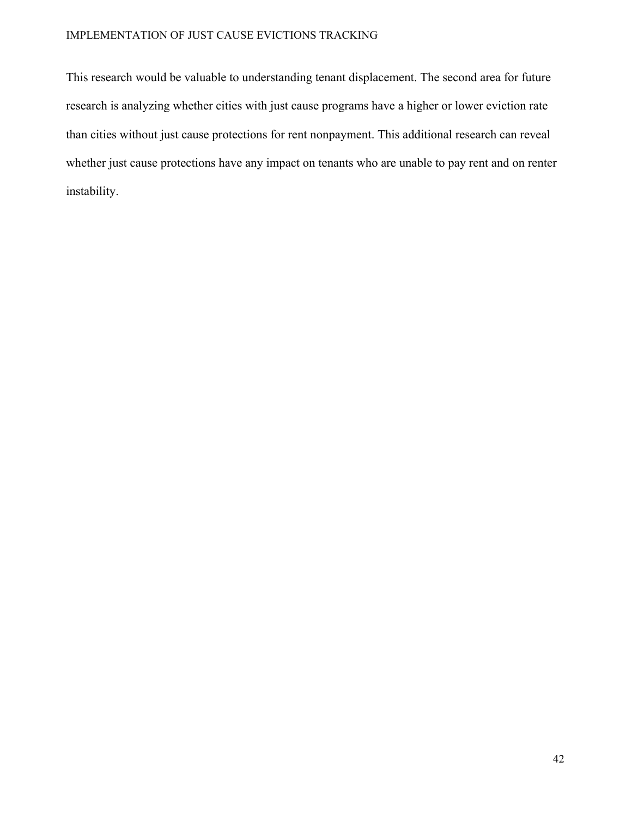### IMPLEMENTATION OF JUST CAUSE EVICTIONS TRACKING

This research would be valuable to understanding tenant displacement. The second area for future research is analyzing whether cities with just cause programs have a higher or lower eviction rate than cities without just cause protections for rent nonpayment. This additional research can reveal whether just cause protections have any impact on tenants who are unable to pay rent and on renter instability.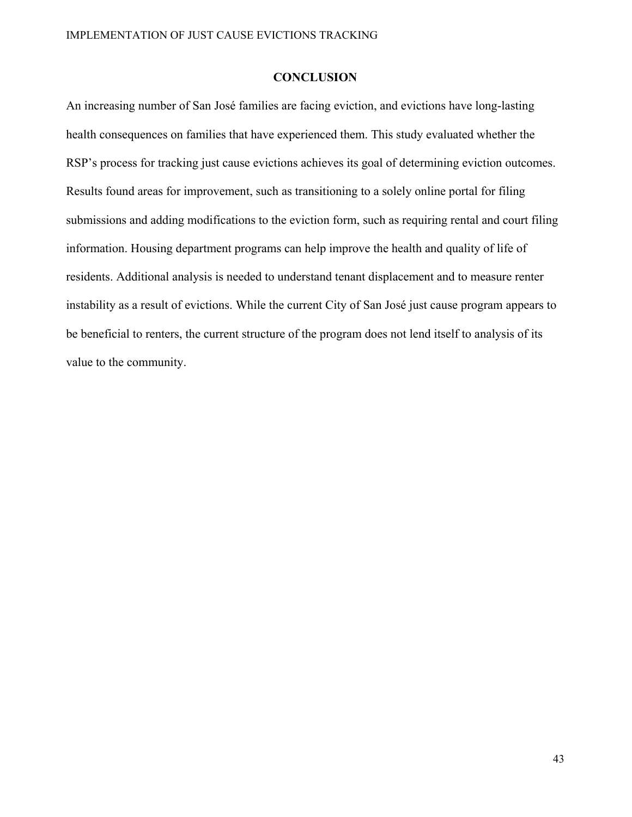#### **CONCLUSION**

An increasing number of San José families are facing eviction, and evictions have long-lasting health consequences on families that have experienced them. This study evaluated whether the RSP's process for tracking just cause evictions achieves its goal of determining eviction outcomes. Results found areas for improvement, such as transitioning to a solely online portal for filing submissions and adding modifications to the eviction form, such as requiring rental and court filing information. Housing department programs can help improve the health and quality of life of residents. Additional analysis is needed to understand tenant displacement and to measure renter instability as a result of evictions. While the current City of San José just cause program appears to be beneficial to renters, the current structure of the program does not lend itself to analysis of its value to the community.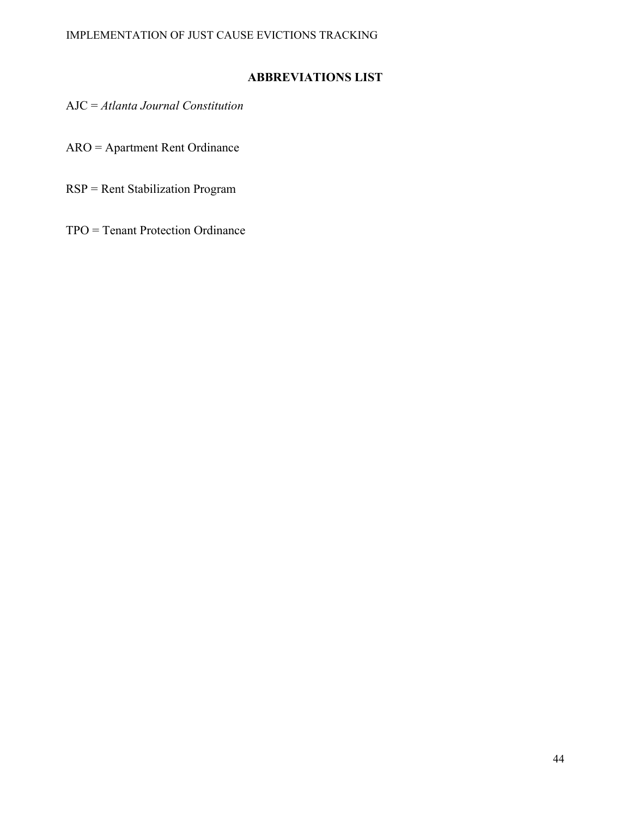# **ABBREVIATIONS LIST**

AJC = *Atlanta Journal Constitution*

ARO = Apartment Rent Ordinance

RSP = Rent Stabilization Program

TPO = Tenant Protection Ordinance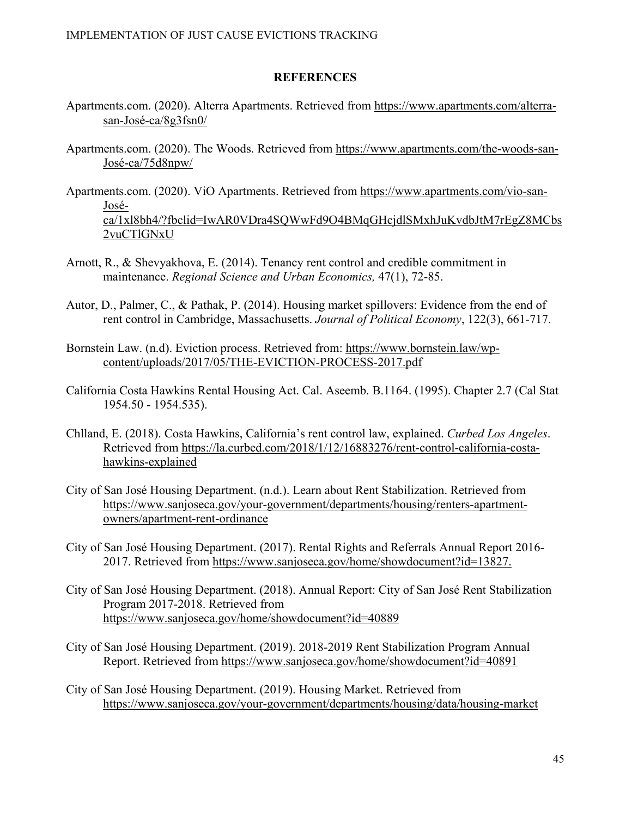#### **REFERENCES**

- Apartments.com. (2020). Alterra Apartments. Retrieved from https://www.apartments.com/alterrasan-José-ca/8g3fsn0/
- Apartments.com. (2020). The Woods. Retrieved from https://www.apartments.com/the-woods-san-José-ca/75d8npw/
- Apartments.com. (2020). ViO Apartments. Retrieved from https://www.apartments.com/vio-san-Joséca/1xl8bh4/?fbclid=IwAR0VDra4SQWwFd9O4BMqGHcjdlSMxhJuKvdbJtM7rEgZ8MCbs 2vuCTlGNxU
- Arnott, R., & Shevyakhova, E. (2014). Tenancy rent control and credible commitment in maintenance. *Regional Science and Urban Economics,* 47(1), 72-85.
- Autor, D., Palmer, C., & Pathak, P. (2014). Housing market spillovers: Evidence from the end of rent control in Cambridge, Massachusetts. *Journal of Political Economy*, 122(3), 661-717.
- Bornstein Law. (n.d). Eviction process. Retrieved from: https://www.bornstein.law/wpcontent/uploads/2017/05/THE-EVICTION-PROCESS-2017.pdf
- California Costa Hawkins Rental Housing Act. Cal. Aseemb. B.1164. (1995). Chapter 2.7 (Cal Stat 1954.50 - 1954.535).
- Chlland, E. (2018). Costa Hawkins, California's rent control law, explained. *Curbed Los Angeles*. Retrieved from https://la.curbed.com/2018/1/12/16883276/rent-control-california-costahawkins-explained
- City of San José Housing Department. (n.d.). Learn about Rent Stabilization. Retrieved from https://www.sanjoseca.gov/your-government/departments/housing/renters-apartmentowners/apartment-rent-ordinance
- City of San José Housing Department. (2017). Rental Rights and Referrals Annual Report 2016- 2017. Retrieved from https://www.sanjoseca.gov/home/showdocument?id=13827.
- City of San José Housing Department. (2018). Annual Report: City of San José Rent Stabilization Program 2017-2018. Retrieved from https://www.sanjoseca.gov/home/showdocument?id=40889
- City of San José Housing Department. (2019). 2018-2019 Rent Stabilization Program Annual Report. Retrieved from https://www.sanjoseca.gov/home/showdocument?id=40891
- City of San José Housing Department. (2019). Housing Market. Retrieved from https://www.sanjoseca.gov/your-government/departments/housing/data/housing-market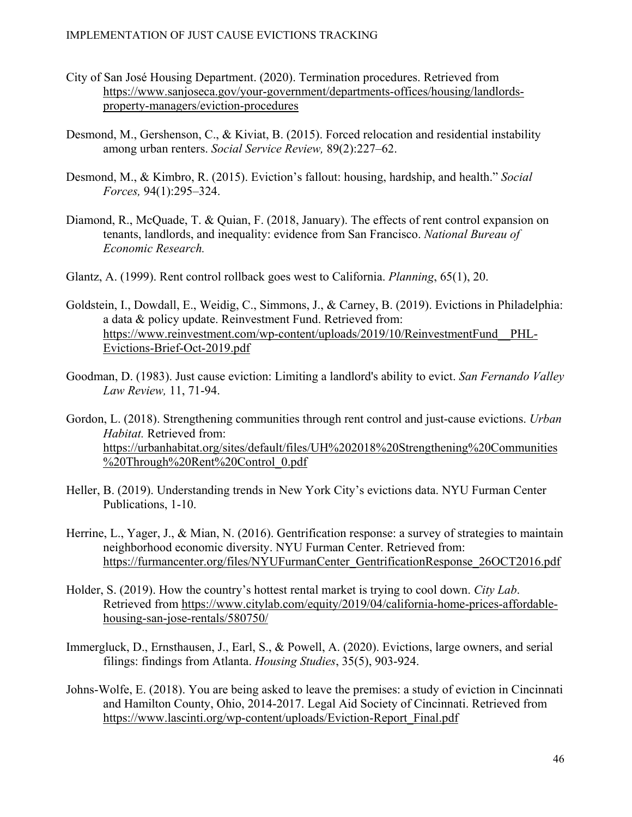- City of San José Housing Department. (2020). Termination procedures. Retrieved from https://www.sanjoseca.gov/your-government/departments-offices/housing/landlordsproperty-managers/eviction-procedures
- Desmond, M., Gershenson, C., & Kiviat, B. (2015). Forced relocation and residential instability among urban renters. *Social Service Review,* 89(2):227–62.
- Desmond, M., & Kimbro, R. (2015). Eviction's fallout: housing, hardship, and health." *Social Forces,* 94(1):295–324.
- Diamond, R., McQuade, T. & Quian, F. (2018, January). The effects of rent control expansion on tenants, landlords, and inequality: evidence from San Francisco. *National Bureau of Economic Research.*
- Glantz, A. (1999). Rent control rollback goes west to California. *Planning*, 65(1), 20.
- Goldstein, I., Dowdall, E., Weidig, C., Simmons, J., & Carney, B. (2019). Evictions in Philadelphia: a data & policy update. Reinvestment Fund. Retrieved from: https://www.reinvestment.com/wp-content/uploads/2019/10/ReinvestmentFund\_\_PHL-Evictions-Brief-Oct-2019.pdf
- Goodman, D. (1983). Just cause eviction: Limiting a landlord's ability to evict. *San Fernando Valley Law Review,* 11, 71-94.
- Gordon, L. (2018). Strengthening communities through rent control and just-cause evictions. *Urban Habitat.* Retrieved from: https://urbanhabitat.org/sites/default/files/UH%202018%20Strengthening%20Communities %20Through%20Rent%20Control\_0.pdf
- Heller, B. (2019). Understanding trends in New York City's evictions data. NYU Furman Center Publications, 1-10.
- Herrine, L., Yager, J., & Mian, N. (2016). Gentrification response: a survey of strategies to maintain neighborhood economic diversity. NYU Furman Center. Retrieved from: https://furmancenter.org/files/NYUFurmanCenter\_GentrificationResponse\_26OCT2016.pdf
- Holder, S. (2019). How the country's hottest rental market is trying to cool down. *City Lab*. Retrieved from https://www.citylab.com/equity/2019/04/california-home-prices-affordablehousing-san-jose-rentals/580750/
- Immergluck, D., Ernsthausen, J., Earl, S., & Powell, A. (2020). Evictions, large owners, and serial filings: findings from Atlanta. *Housing Studies*, 35(5), 903-924.
- Johns-Wolfe, E. (2018). You are being asked to leave the premises: a study of eviction in Cincinnati and Hamilton County, Ohio, 2014-2017. Legal Aid Society of Cincinnati. Retrieved from https://www.lascinti.org/wp-content/uploads/Eviction-Report\_Final.pdf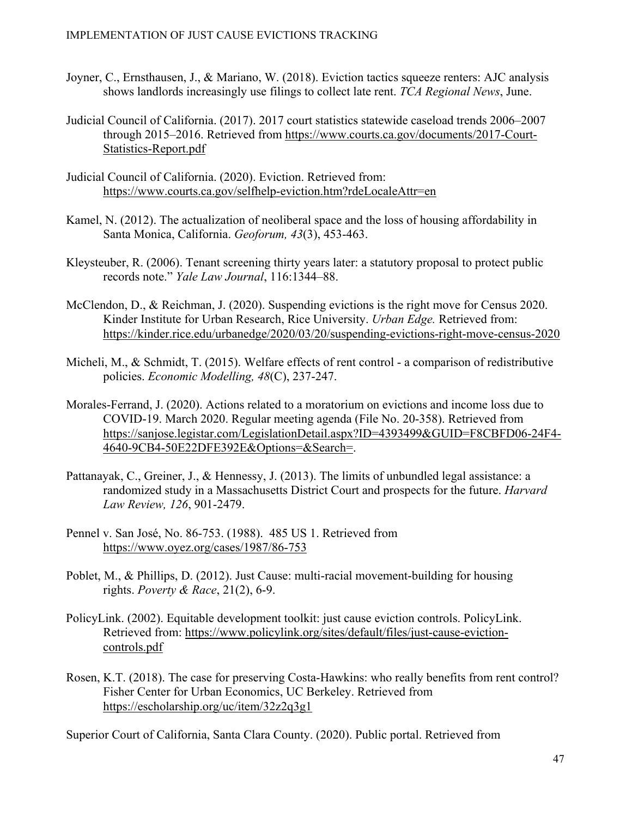- Joyner, C., Ernsthausen, J., & Mariano, W. (2018). Eviction tactics squeeze renters: AJC analysis shows landlords increasingly use filings to collect late rent. *TCA Regional News*, June.
- Judicial Council of California. (2017). 2017 court statistics statewide caseload trends 2006–2007 through 2015–2016. Retrieved from https://www.courts.ca.gov/documents/2017-Court-Statistics-Report.pdf
- Judicial Council of California. (2020). Eviction. Retrieved from: https://www.courts.ca.gov/selfhelp-eviction.htm?rdeLocaleAttr=en
- Kamel, N. (2012). The actualization of neoliberal space and the loss of housing affordability in Santa Monica, California. *Geoforum, 43*(3), 453-463.
- Kleysteuber, R. (2006). Tenant screening thirty years later: a statutory proposal to protect public records note." *Yale Law Journal*, 116:1344–88.
- McClendon, D., & Reichman, J. (2020). Suspending evictions is the right move for Census 2020. Kinder Institute for Urban Research, Rice University. *Urban Edge.* Retrieved from: https://kinder.rice.edu/urbanedge/2020/03/20/suspending-evictions-right-move-census-2020
- Micheli, M., & Schmidt, T. (2015). Welfare effects of rent control a comparison of redistributive policies. *Economic Modelling, 48*(C), 237-247.
- Morales-Ferrand, J. (2020). Actions related to a moratorium on evictions and income loss due to COVID-19. March 2020. Regular meeting agenda (File No. 20-358). Retrieved from https://sanjose.legistar.com/LegislationDetail.aspx?ID=4393499&GUID=F8CBFD06-24F4- 4640-9CB4-50E22DFE392E&Options=&Search=.
- Pattanayak, C., Greiner, J., & Hennessy, J. (2013). The limits of unbundled legal assistance: a randomized study in a Massachusetts District Court and prospects for the future. *Harvard Law Review, 126*, 901-2479.
- Pennel v. San José, No. 86-753. (1988). 485 US 1. Retrieved from https://www.oyez.org/cases/1987/86-753
- Poblet, M., & Phillips, D. (2012). Just Cause: multi-racial movement-building for housing rights. *Poverty & Race*, 21(2), 6-9.
- PolicyLink. (2002). Equitable development toolkit: just cause eviction controls. PolicyLink. Retrieved from: https://www.policylink.org/sites/default/files/just-cause-evictioncontrols.pdf
- Rosen, K.T. (2018). The case for preserving Costa-Hawkins: who really benefits from rent control? Fisher Center for Urban Economics, UC Berkeley. Retrieved from https://escholarship.org/uc/item/32z2q3g1

Superior Court of California, Santa Clara County. (2020). Public portal. Retrieved from